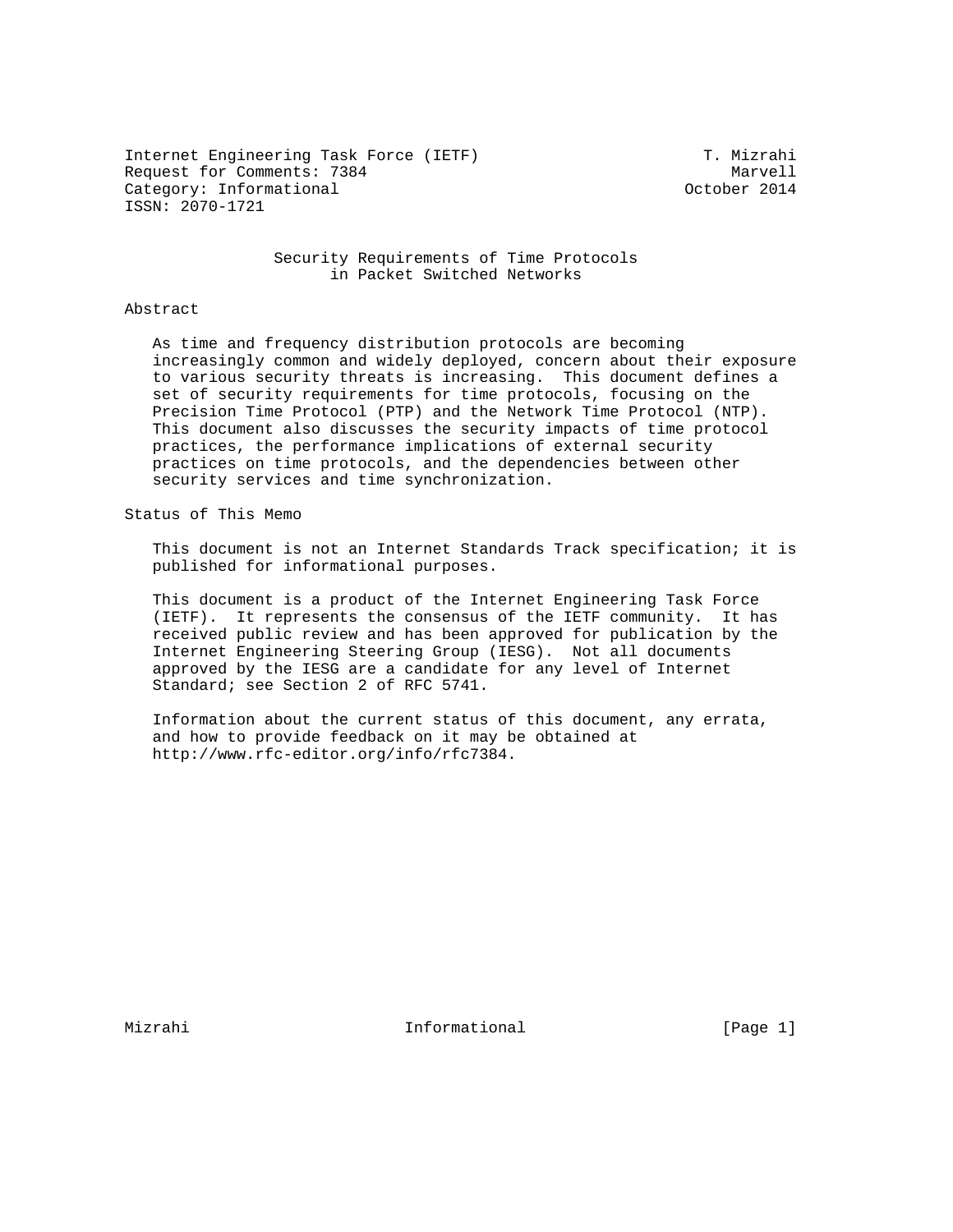Internet Engineering Task Force (IETF) T. Mizrahi Request for Comments: 7384<br>Category: Informational delays and the category: Informational Category: Informational ISSN: 2070-1721

 Security Requirements of Time Protocols in Packet Switched Networks

#### Abstract

 As time and frequency distribution protocols are becoming increasingly common and widely deployed, concern about their exposure to various security threats is increasing. This document defines a set of security requirements for time protocols, focusing on the Precision Time Protocol (PTP) and the Network Time Protocol (NTP). This document also discusses the security impacts of time protocol practices, the performance implications of external security practices on time protocols, and the dependencies between other security services and time synchronization.

## Status of This Memo

 This document is not an Internet Standards Track specification; it is published for informational purposes.

 This document is a product of the Internet Engineering Task Force (IETF). It represents the consensus of the IETF community. It has received public review and has been approved for publication by the Internet Engineering Steering Group (IESG). Not all documents approved by the IESG are a candidate for any level of Internet Standard; see Section 2 of RFC 5741.

 Information about the current status of this document, any errata, and how to provide feedback on it may be obtained at http://www.rfc-editor.org/info/rfc7384.

Mizrahi 10 and 11 and 11 and 11 and 11 and 12 and 12 and 12 and 12 and 12 and 12 and 12 and 12 and 12 and 12 and 12 and 12 and 12 and 12 and 12 and 12 and 12 and 12 and 12 and 12 and 12 and 12 and 12 and 12 and 12 and 12 a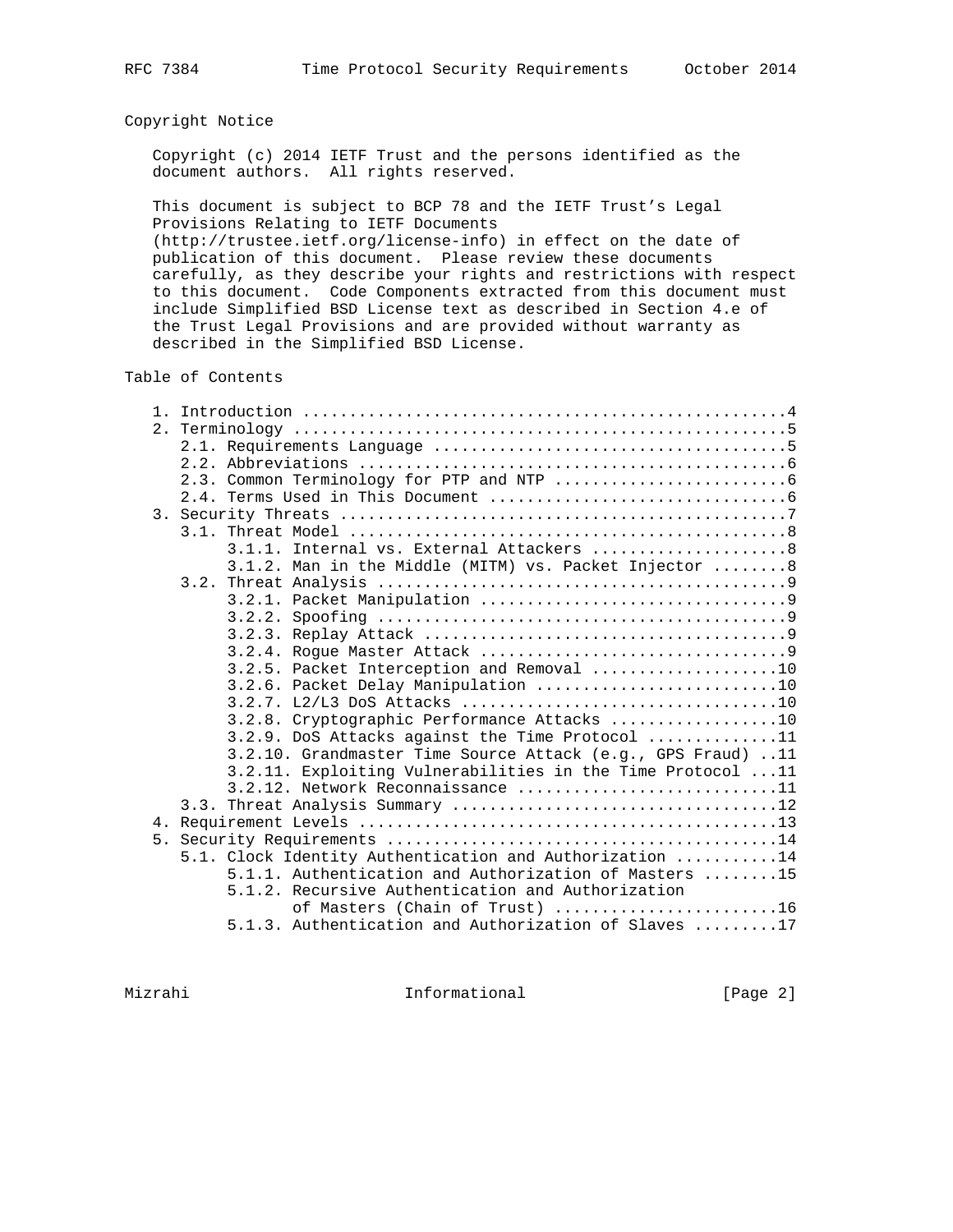# Copyright Notice

 Copyright (c) 2014 IETF Trust and the persons identified as the document authors. All rights reserved.

 This document is subject to BCP 78 and the IETF Trust's Legal Provisions Relating to IETF Documents

 (http://trustee.ietf.org/license-info) in effect on the date of publication of this document. Please review these documents carefully, as they describe your rights and restrictions with respect to this document. Code Components extracted from this document must include Simplified BSD License text as described in Section 4.e of the Trust Legal Provisions and are provided without warranty as described in the Simplified BSD License.

# Table of Contents

|                | 3.1.1. Internal vs. External Attackers  8                             |
|----------------|-----------------------------------------------------------------------|
|                | 3.1.2. Man in the Middle (MITM) vs. Packet Injector 8                 |
|                |                                                                       |
|                |                                                                       |
|                |                                                                       |
|                |                                                                       |
|                |                                                                       |
|                | 3.2.5. Packet Interception and Removal 10                             |
|                | 3.2.6. Packet Delay Manipulation 10                                   |
|                |                                                                       |
|                | 3.2.8. Cryptographic Performance Attacks 10                           |
|                | 3.2.9. DoS Attacks against the Time Protocol 11                       |
|                | 3.2.10. Grandmaster Time Source Attack (e.g., GPS Fraud) 11           |
|                | 3.2.11. Exploiting Vulnerabilities in the Time Protocol 11            |
|                | 3.2.12. Network Reconnaissance 11                                     |
|                |                                                                       |
|                |                                                                       |
| 5 <sub>1</sub> |                                                                       |
|                | 5.1. Clock Identity Authentication and Authorization 14               |
|                | $5.1.1.$ Authentication and Authorization of Masters $\dots \dots 15$ |
|                | 5.1.2. Recursive Authentication and Authorization                     |
|                | of Masters (Chain of Trust) 16                                        |
|                | 5.1.3. Authentication and Authorization of Slaves 17                  |

Mizrahi 10 Informational 1999 [Page 2]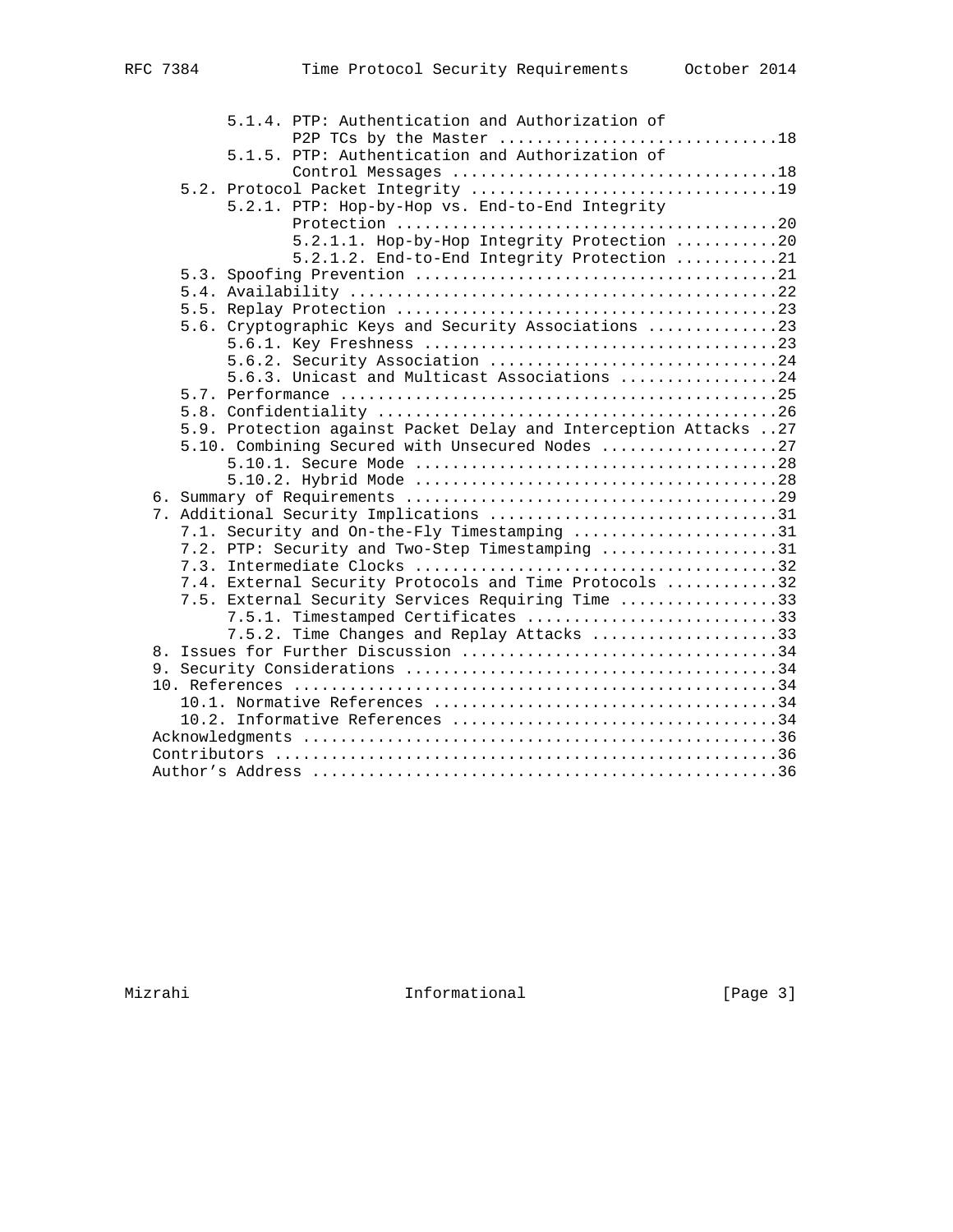|  | 5.1.4. PTP: Authentication and Authorization of<br>P2P TCs by the Master 18 |
|--|-----------------------------------------------------------------------------|
|  | 5.1.5. PTP: Authentication and Authorization of                             |
|  |                                                                             |
|  |                                                                             |
|  | 5.2.1. PTP: Hop-by-Hop vs. End-to-End Integrity                             |
|  |                                                                             |
|  | 5.2.1.1. Hop-by-Hop Integrity Protection 20                                 |
|  | 5.2.1.2. End-to-End Integrity Protection 21                                 |
|  |                                                                             |
|  |                                                                             |
|  |                                                                             |
|  | 5.6. Cryptographic Keys and Security Associations 23                        |
|  |                                                                             |
|  | 5.6.2. Security Association 24                                              |
|  | 5.6.3. Unicast and Multicast Associations 24                                |
|  |                                                                             |
|  |                                                                             |
|  | 5.9. Protection against Packet Delay and Interception Attacks 27            |
|  | 5.10. Combining Secured with Unsecured Nodes 27                             |
|  |                                                                             |
|  |                                                                             |
|  |                                                                             |
|  | 7. Additional Security Implications 31                                      |
|  | 7.1. Security and On-the-Fly Timestamping 31                                |
|  | 7.2. PTP: Security and Two-Step Timestamping 31                             |
|  |                                                                             |
|  | 7.4. External Security Protocols and Time Protocols 32                      |
|  | 7.5. External Security Services Requiring Time 33                           |
|  | 7.5.1. Timestamped Certificates 33                                          |
|  | 7.5.2. Time Changes and Replay Attacks 33                                   |
|  |                                                                             |
|  |                                                                             |
|  |                                                                             |
|  |                                                                             |
|  |                                                                             |
|  |                                                                             |
|  |                                                                             |
|  |                                                                             |

Mizrahi 10 Informational 1999 [Page 3]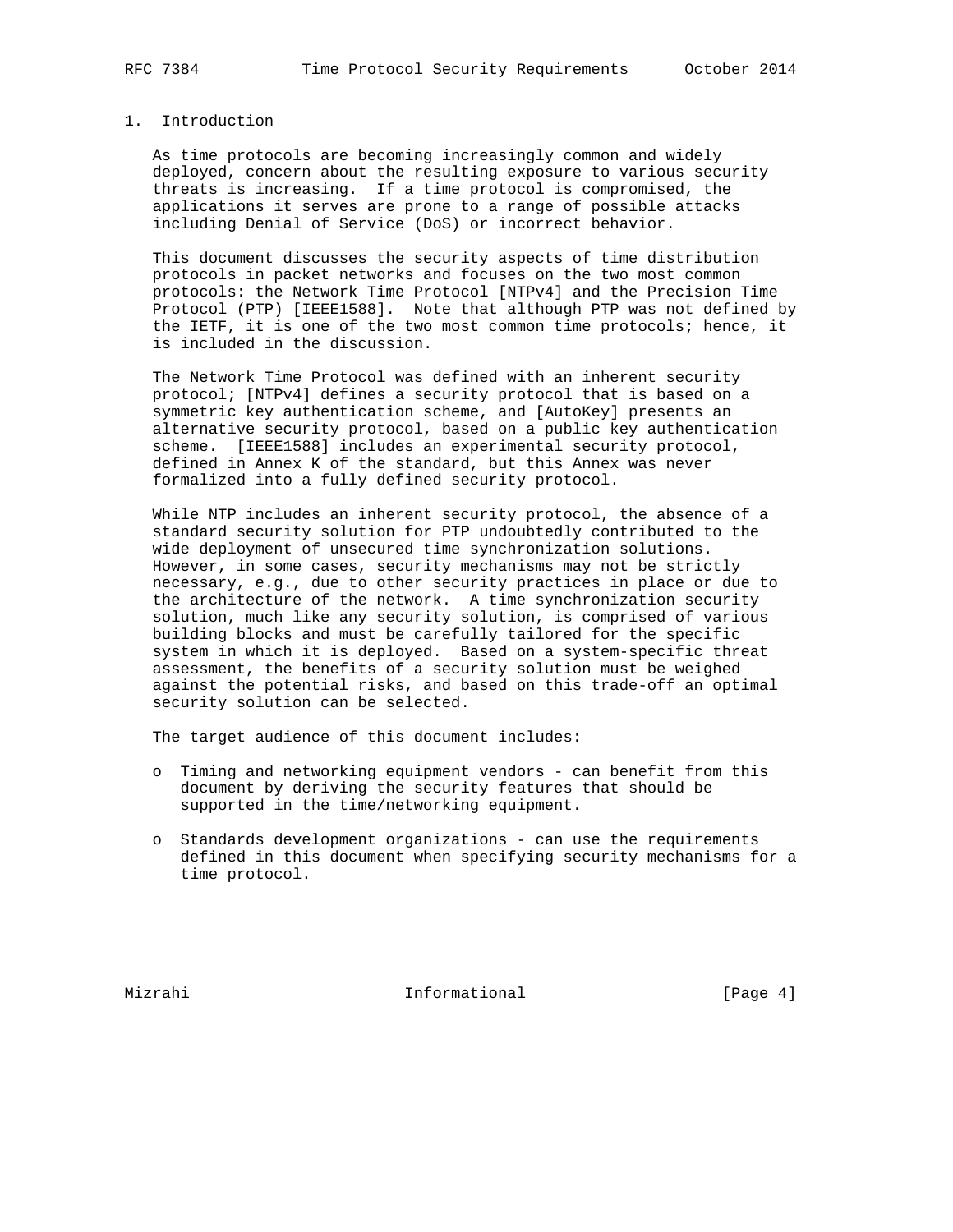# 1. Introduction

 As time protocols are becoming increasingly common and widely deployed, concern about the resulting exposure to various security threats is increasing. If a time protocol is compromised, the applications it serves are prone to a range of possible attacks including Denial of Service (DoS) or incorrect behavior.

 This document discusses the security aspects of time distribution protocols in packet networks and focuses on the two most common protocols: the Network Time Protocol [NTPv4] and the Precision Time Protocol (PTP) [IEEE1588]. Note that although PTP was not defined by the IETF, it is one of the two most common time protocols; hence, it is included in the discussion.

 The Network Time Protocol was defined with an inherent security protocol; [NTPv4] defines a security protocol that is based on a symmetric key authentication scheme, and [AutoKey] presents an alternative security protocol, based on a public key authentication scheme. [IEEE1588] includes an experimental security protocol, defined in Annex K of the standard, but this Annex was never formalized into a fully defined security protocol.

 While NTP includes an inherent security protocol, the absence of a standard security solution for PTP undoubtedly contributed to the wide deployment of unsecured time synchronization solutions. However, in some cases, security mechanisms may not be strictly necessary, e.g., due to other security practices in place or due to the architecture of the network. A time synchronization security solution, much like any security solution, is comprised of various building blocks and must be carefully tailored for the specific system in which it is deployed. Based on a system-specific threat assessment, the benefits of a security solution must be weighed against the potential risks, and based on this trade-off an optimal security solution can be selected.

The target audience of this document includes:

- o Timing and networking equipment vendors can benefit from this document by deriving the security features that should be supported in the time/networking equipment.
- o Standards development organizations can use the requirements defined in this document when specifying security mechanisms for a time protocol.

Mizrahi 10 Informational 1996 [Page 4]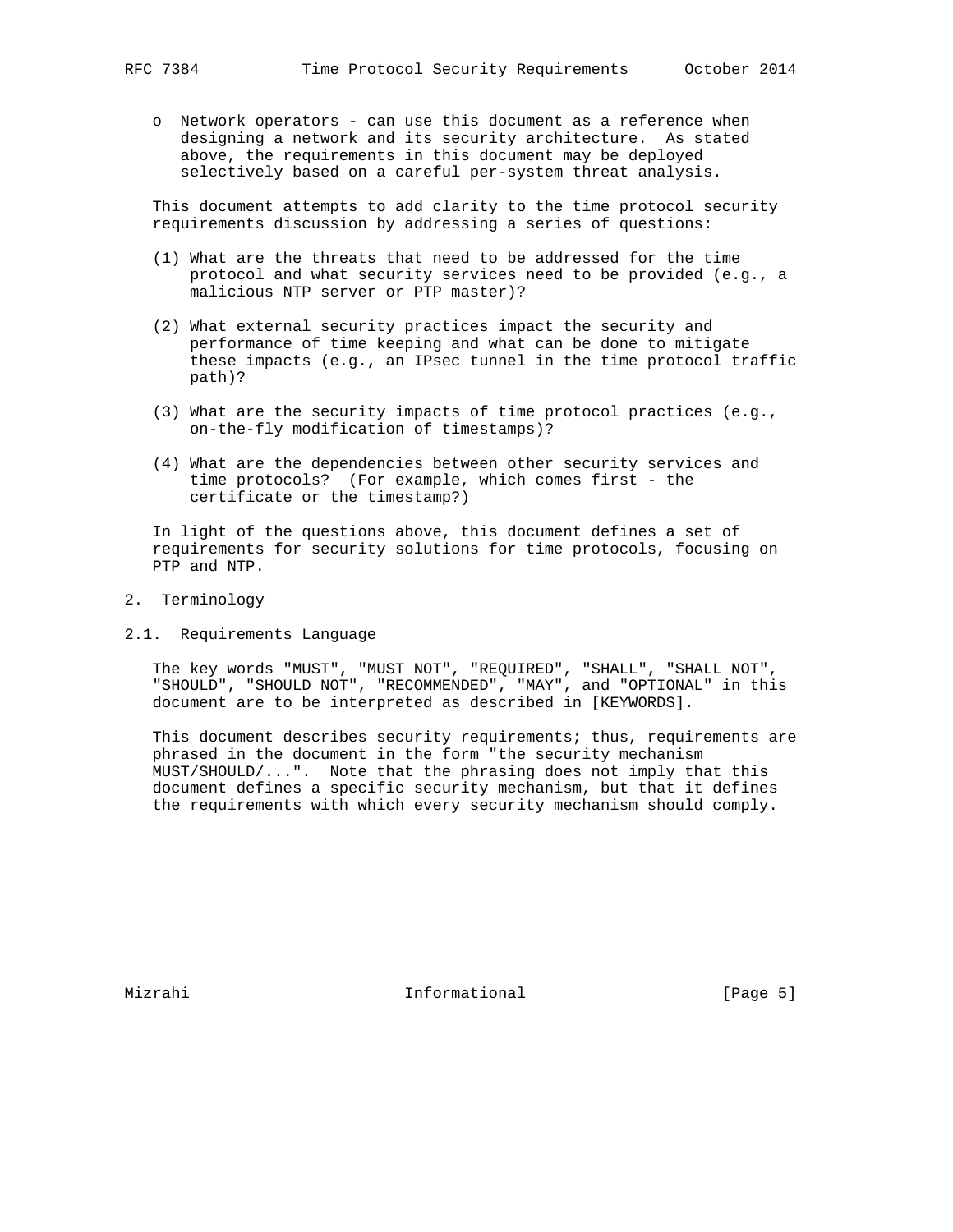o Network operators - can use this document as a reference when designing a network and its security architecture. As stated above, the requirements in this document may be deployed selectively based on a careful per-system threat analysis.

 This document attempts to add clarity to the time protocol security requirements discussion by addressing a series of questions:

- (1) What are the threats that need to be addressed for the time protocol and what security services need to be provided (e.g., a malicious NTP server or PTP master)?
- (2) What external security practices impact the security and performance of time keeping and what can be done to mitigate these impacts (e.g., an IPsec tunnel in the time protocol traffic path)?
- (3) What are the security impacts of time protocol practices (e.g., on-the-fly modification of timestamps)?
- (4) What are the dependencies between other security services and time protocols? (For example, which comes first - the certificate or the timestamp?)

 In light of the questions above, this document defines a set of requirements for security solutions for time protocols, focusing on PTP and NTP.

- 2. Terminology
- 2.1. Requirements Language

 The key words "MUST", "MUST NOT", "REQUIRED", "SHALL", "SHALL NOT", "SHOULD", "SHOULD NOT", "RECOMMENDED", "MAY", and "OPTIONAL" in this document are to be interpreted as described in [KEYWORDS].

 This document describes security requirements; thus, requirements are phrased in the document in the form "the security mechanism MUST/SHOULD/...". Note that the phrasing does not imply that this document defines a specific security mechanism, but that it defines the requirements with which every security mechanism should comply.

Mizrahi 10 minformational 11 minutes is equal to the matrice of  $[Page 5]$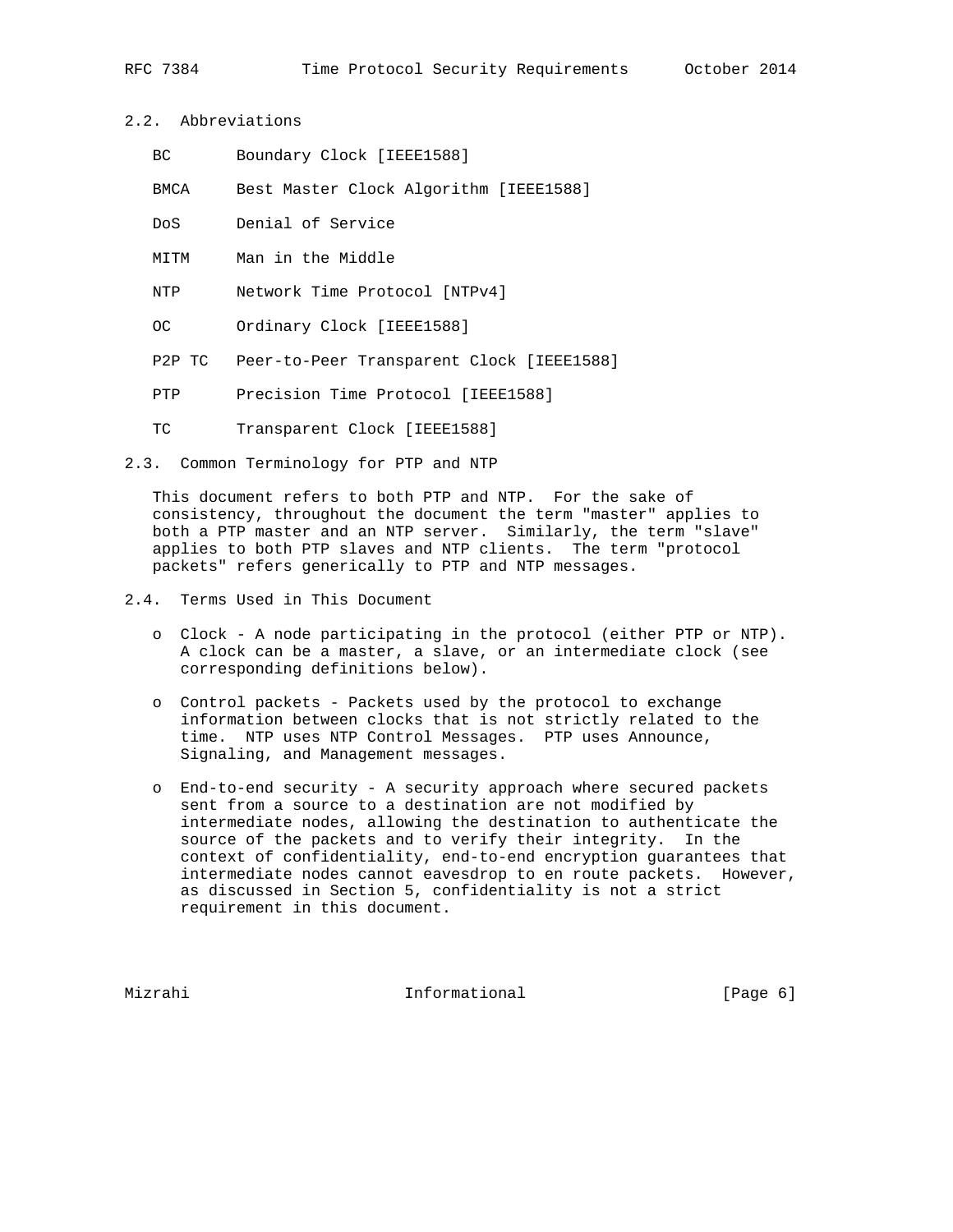- 2.2. Abbreviations
	- BC Boundary Clock [IEEE1588]
	- BMCA Best Master Clock Algorithm [IEEE1588]
	- DoS Denial of Service
	- MITM Man in the Middle
	- NTP Network Time Protocol [NTPv4]
	- OC Ordinary Clock [IEEE1588]
	- P2P TC Peer-to-Peer Transparent Clock [IEEE1588]
	- PTP Precision Time Protocol [IEEE1588]
	- TC Transparent Clock [IEEE1588]
- 2.3. Common Terminology for PTP and NTP

 This document refers to both PTP and NTP. For the sake of consistency, throughout the document the term "master" applies to both a PTP master and an NTP server. Similarly, the term "slave" applies to both PTP slaves and NTP clients. The term "protocol packets" refers generically to PTP and NTP messages.

- 2.4. Terms Used in This Document
	- o Clock A node participating in the protocol (either PTP or NTP). A clock can be a master, a slave, or an intermediate clock (see corresponding definitions below).
	- o Control packets Packets used by the protocol to exchange information between clocks that is not strictly related to the time. NTP uses NTP Control Messages. PTP uses Announce, Signaling, and Management messages.
	- o End-to-end security A security approach where secured packets sent from a source to a destination are not modified by intermediate nodes, allowing the destination to authenticate the source of the packets and to verify their integrity. In the context of confidentiality, end-to-end encryption guarantees that intermediate nodes cannot eavesdrop to en route packets. However, as discussed in Section 5, confidentiality is not a strict requirement in this document.

Mizrahi **Informational Informational** [Page 6]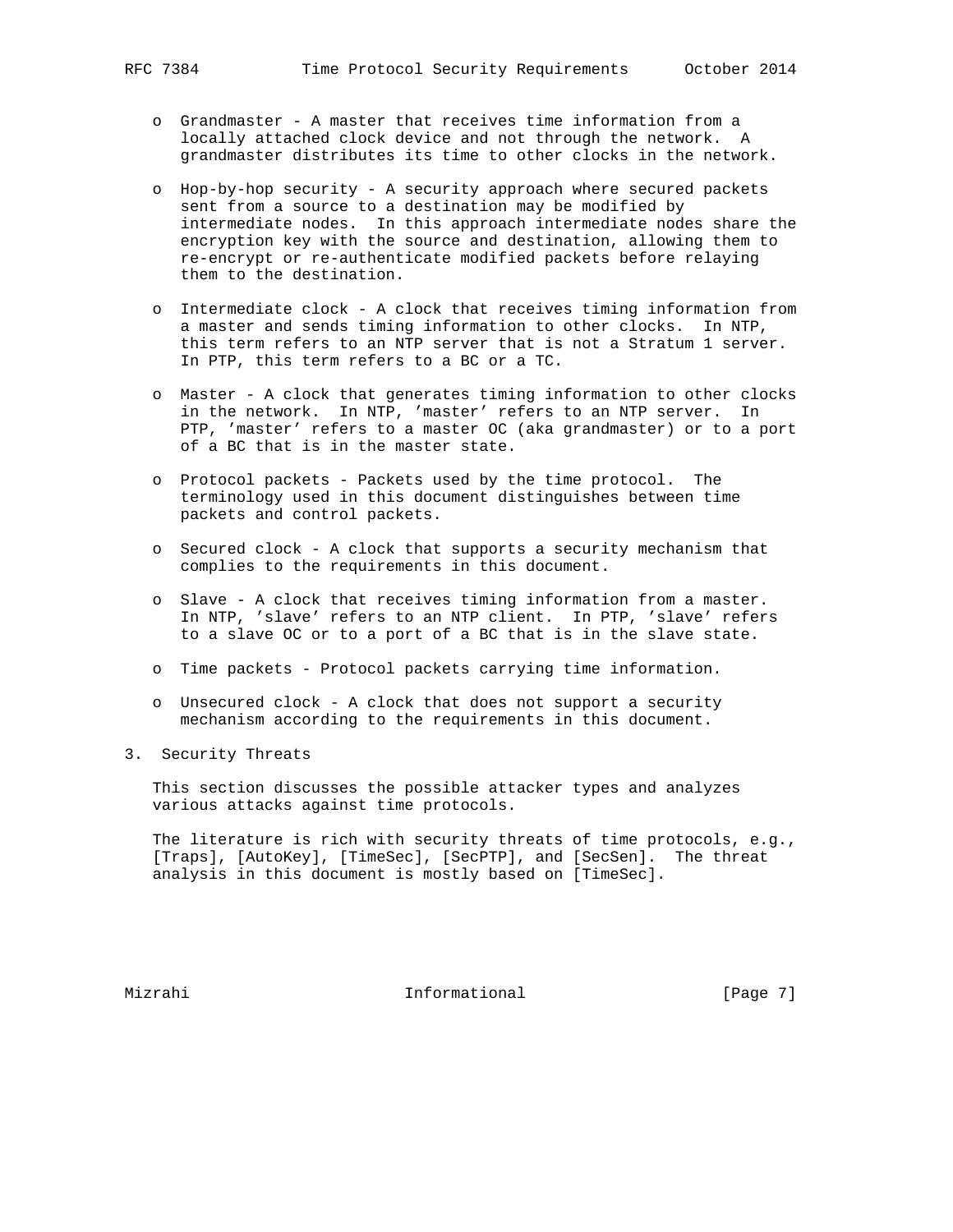- o Grandmaster A master that receives time information from a locally attached clock device and not through the network. A grandmaster distributes its time to other clocks in the network.
- o Hop-by-hop security A security approach where secured packets sent from a source to a destination may be modified by intermediate nodes. In this approach intermediate nodes share the encryption key with the source and destination, allowing them to re-encrypt or re-authenticate modified packets before relaying them to the destination.
- o Intermediate clock A clock that receives timing information from a master and sends timing information to other clocks. In NTP, this term refers to an NTP server that is not a Stratum 1 server. In PTP, this term refers to a BC or a TC.
- o Master A clock that generates timing information to other clocks in the network. In NTP, 'master' refers to an NTP server. In PTP, 'master' refers to a master OC (aka grandmaster) or to a port of a BC that is in the master state.
- o Protocol packets Packets used by the time protocol. The terminology used in this document distinguishes between time packets and control packets.
- o Secured clock A clock that supports a security mechanism that complies to the requirements in this document.
- o Slave A clock that receives timing information from a master. In NTP, 'slave' refers to an NTP client. In PTP, 'slave' refers to a slave OC or to a port of a BC that is in the slave state.
- o Time packets Protocol packets carrying time information.
- o Unsecured clock A clock that does not support a security mechanism according to the requirements in this document.
- 3. Security Threats

 This section discusses the possible attacker types and analyzes various attacks against time protocols.

 The literature is rich with security threats of time protocols, e.g., [Traps], [AutoKey], [TimeSec], [SecPTP], and [SecSen]. The threat analysis in this document is mostly based on [TimeSec].

Mizrahi 10 Informational 1999 [Page 7]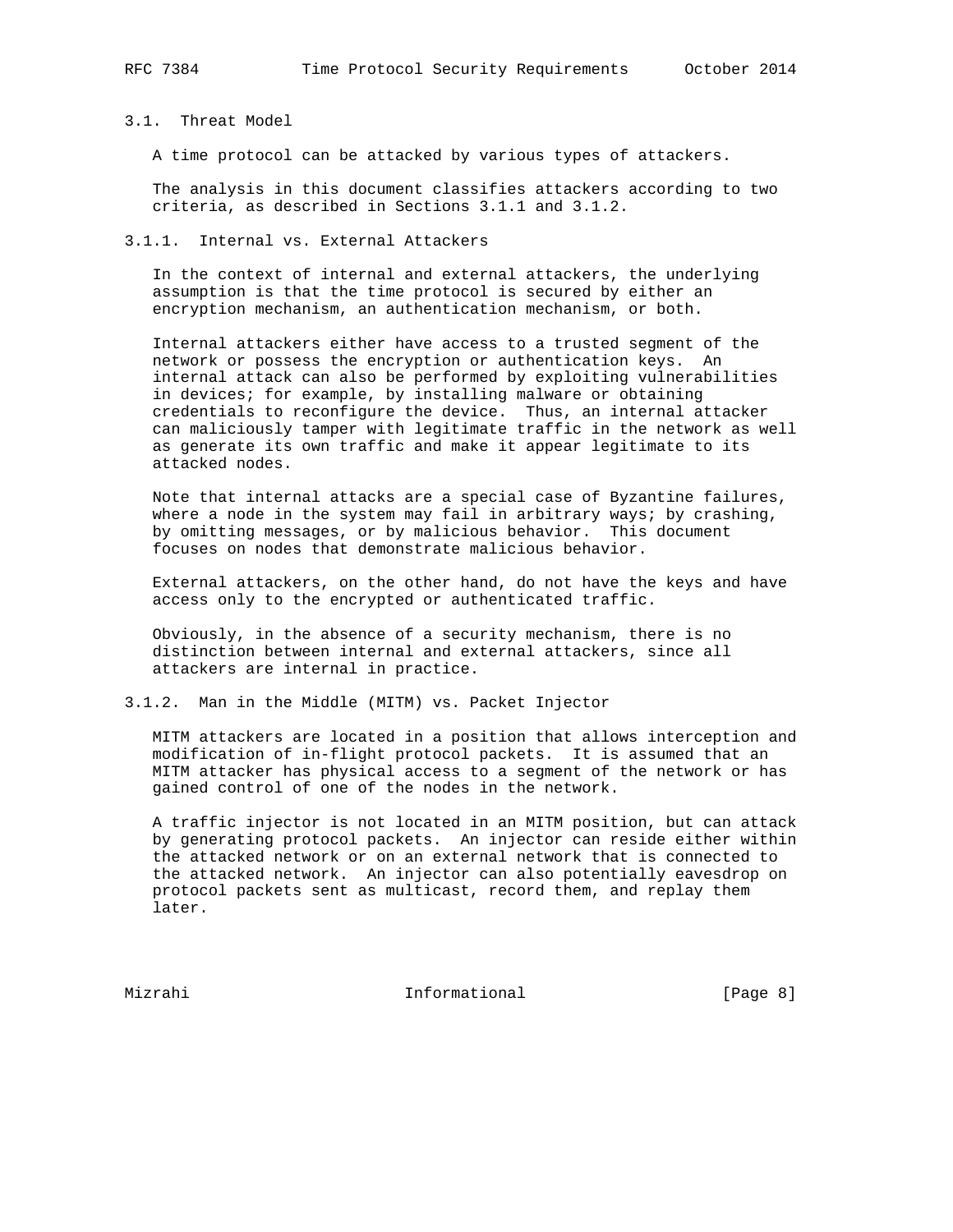# 3.1. Threat Model

A time protocol can be attacked by various types of attackers.

 The analysis in this document classifies attackers according to two criteria, as described in Sections 3.1.1 and 3.1.2.

# 3.1.1. Internal vs. External Attackers

 In the context of internal and external attackers, the underlying assumption is that the time protocol is secured by either an encryption mechanism, an authentication mechanism, or both.

 Internal attackers either have access to a trusted segment of the network or possess the encryption or authentication keys. An internal attack can also be performed by exploiting vulnerabilities in devices; for example, by installing malware or obtaining credentials to reconfigure the device. Thus, an internal attacker can maliciously tamper with legitimate traffic in the network as well as generate its own traffic and make it appear legitimate to its attacked nodes.

 Note that internal attacks are a special case of Byzantine failures, where a node in the system may fail in arbitrary ways; by crashing, by omitting messages, or by malicious behavior. This document focuses on nodes that demonstrate malicious behavior.

 External attackers, on the other hand, do not have the keys and have access only to the encrypted or authenticated traffic.

 Obviously, in the absence of a security mechanism, there is no distinction between internal and external attackers, since all attackers are internal in practice.

3.1.2. Man in the Middle (MITM) vs. Packet Injector

 MITM attackers are located in a position that allows interception and modification of in-flight protocol packets. It is assumed that an MITM attacker has physical access to a segment of the network or has gained control of one of the nodes in the network.

 A traffic injector is not located in an MITM position, but can attack by generating protocol packets. An injector can reside either within the attacked network or on an external network that is connected to the attacked network. An injector can also potentially eavesdrop on protocol packets sent as multicast, record them, and replay them later.

Mizrahi 10 Informational 1999 (Page 8)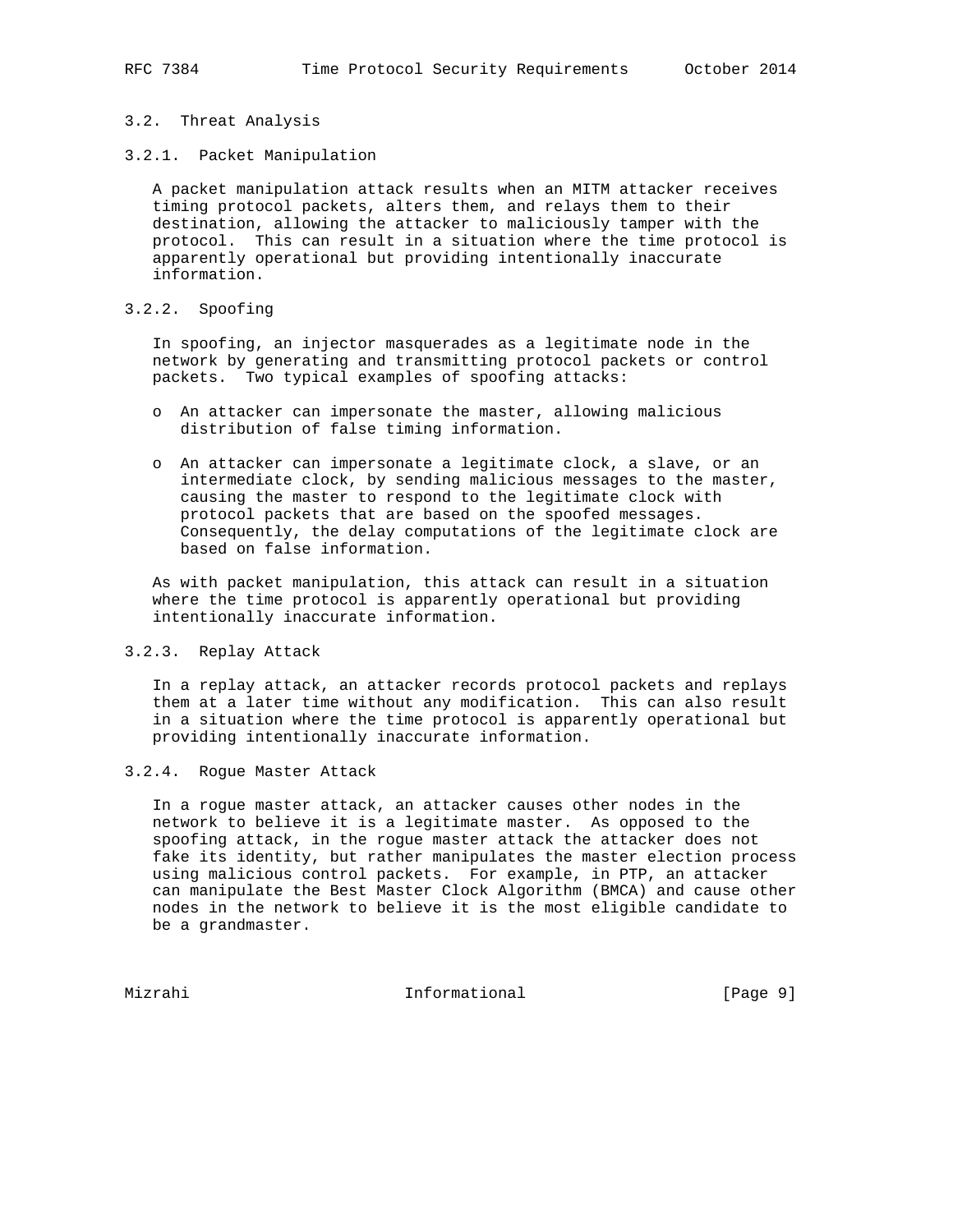# 3.2. Threat Analysis

3.2.1. Packet Manipulation

 A packet manipulation attack results when an MITM attacker receives timing protocol packets, alters them, and relays them to their destination, allowing the attacker to maliciously tamper with the protocol. This can result in a situation where the time protocol is apparently operational but providing intentionally inaccurate information.

# 3.2.2. Spoofing

 In spoofing, an injector masquerades as a legitimate node in the network by generating and transmitting protocol packets or control packets. Two typical examples of spoofing attacks:

- o An attacker can impersonate the master, allowing malicious distribution of false timing information.
- o An attacker can impersonate a legitimate clock, a slave, or an intermediate clock, by sending malicious messages to the master, causing the master to respond to the legitimate clock with protocol packets that are based on the spoofed messages. Consequently, the delay computations of the legitimate clock are based on false information.

 As with packet manipulation, this attack can result in a situation where the time protocol is apparently operational but providing intentionally inaccurate information.

# 3.2.3. Replay Attack

 In a replay attack, an attacker records protocol packets and replays them at a later time without any modification. This can also result in a situation where the time protocol is apparently operational but providing intentionally inaccurate information.

3.2.4. Rogue Master Attack

 In a rogue master attack, an attacker causes other nodes in the network to believe it is a legitimate master. As opposed to the spoofing attack, in the rogue master attack the attacker does not fake its identity, but rather manipulates the master election process using malicious control packets. For example, in PTP, an attacker can manipulate the Best Master Clock Algorithm (BMCA) and cause other nodes in the network to believe it is the most eligible candidate to be a grandmaster.

Mizrahi **Informational Informational** [Page 9]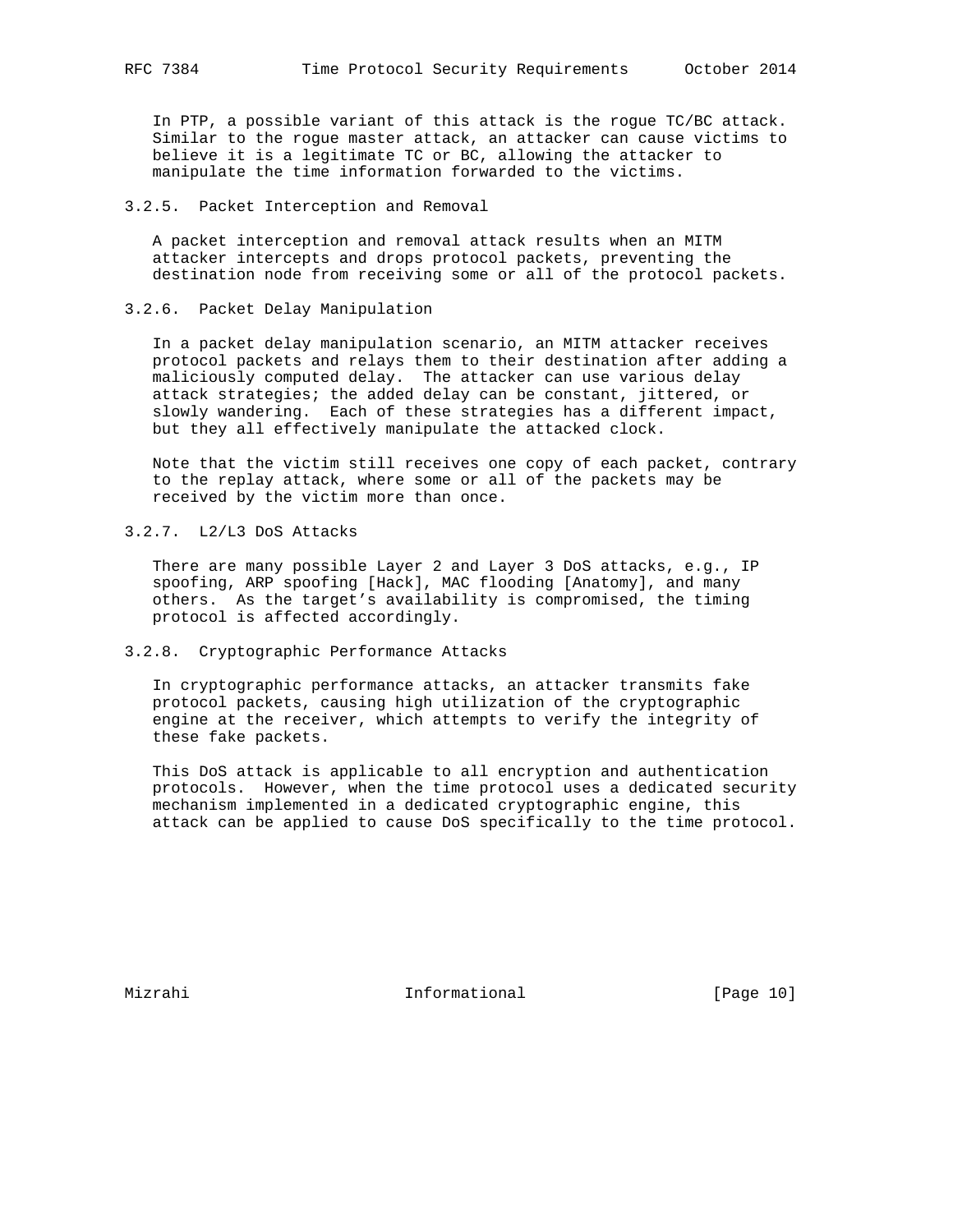In PTP, a possible variant of this attack is the rogue TC/BC attack. Similar to the rogue master attack, an attacker can cause victims to believe it is a legitimate TC or BC, allowing the attacker to manipulate the time information forwarded to the victims.

# 3.2.5. Packet Interception and Removal

 A packet interception and removal attack results when an MITM attacker intercepts and drops protocol packets, preventing the destination node from receiving some or all of the protocol packets.

# 3.2.6. Packet Delay Manipulation

 In a packet delay manipulation scenario, an MITM attacker receives protocol packets and relays them to their destination after adding a maliciously computed delay. The attacker can use various delay attack strategies; the added delay can be constant, jittered, or slowly wandering. Each of these strategies has a different impact, but they all effectively manipulate the attacked clock.

 Note that the victim still receives one copy of each packet, contrary to the replay attack, where some or all of the packets may be received by the victim more than once.

3.2.7. L2/L3 DoS Attacks

 There are many possible Layer 2 and Layer 3 DoS attacks, e.g., IP spoofing, ARP spoofing [Hack], MAC flooding [Anatomy], and many others. As the target's availability is compromised, the timing protocol is affected accordingly.

3.2.8. Cryptographic Performance Attacks

 In cryptographic performance attacks, an attacker transmits fake protocol packets, causing high utilization of the cryptographic engine at the receiver, which attempts to verify the integrity of these fake packets.

 This DoS attack is applicable to all encryption and authentication protocols. However, when the time protocol uses a dedicated security mechanism implemented in a dedicated cryptographic engine, this attack can be applied to cause DoS specifically to the time protocol.

Mizrahi 10 Informational [Page 10]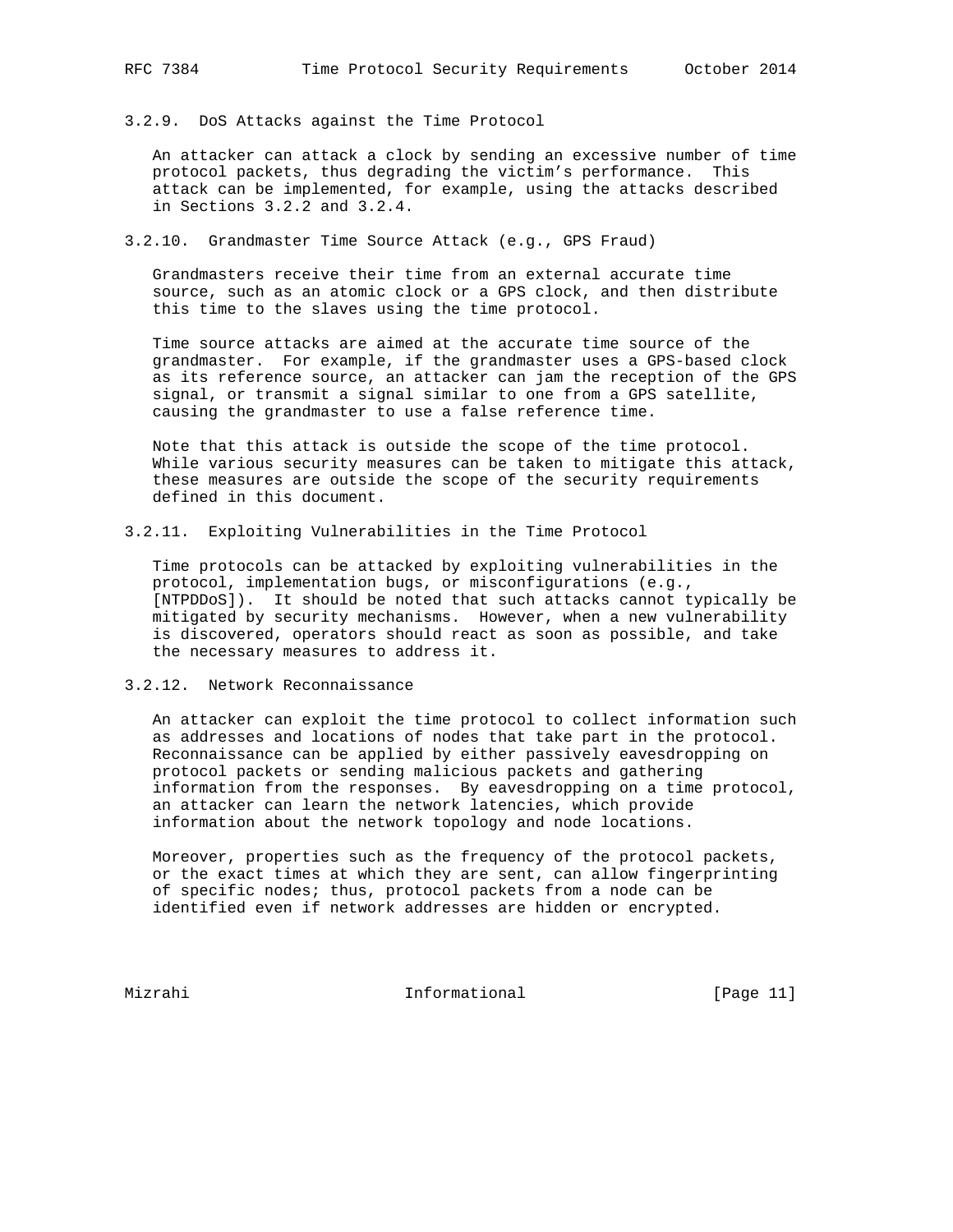#### 3.2.9. DoS Attacks against the Time Protocol

 An attacker can attack a clock by sending an excessive number of time protocol packets, thus degrading the victim's performance. This attack can be implemented, for example, using the attacks described in Sections 3.2.2 and 3.2.4.

3.2.10. Grandmaster Time Source Attack (e.g., GPS Fraud)

 Grandmasters receive their time from an external accurate time source, such as an atomic clock or a GPS clock, and then distribute this time to the slaves using the time protocol.

 Time source attacks are aimed at the accurate time source of the grandmaster. For example, if the grandmaster uses a GPS-based clock as its reference source, an attacker can jam the reception of the GPS signal, or transmit a signal similar to one from a GPS satellite, causing the grandmaster to use a false reference time.

 Note that this attack is outside the scope of the time protocol. While various security measures can be taken to mitigate this attack, these measures are outside the scope of the security requirements defined in this document.

3.2.11. Exploiting Vulnerabilities in the Time Protocol

 Time protocols can be attacked by exploiting vulnerabilities in the protocol, implementation bugs, or misconfigurations (e.g., [NTPDDoS]). It should be noted that such attacks cannot typically be mitigated by security mechanisms. However, when a new vulnerability is discovered, operators should react as soon as possible, and take the necessary measures to address it.

3.2.12. Network Reconnaissance

 An attacker can exploit the time protocol to collect information such as addresses and locations of nodes that take part in the protocol. Reconnaissance can be applied by either passively eavesdropping on protocol packets or sending malicious packets and gathering information from the responses. By eavesdropping on a time protocol, an attacker can learn the network latencies, which provide information about the network topology and node locations.

 Moreover, properties such as the frequency of the protocol packets, or the exact times at which they are sent, can allow fingerprinting of specific nodes; thus, protocol packets from a node can be identified even if network addresses are hidden or encrypted.

Mizrahi 10 Informational [Page 11]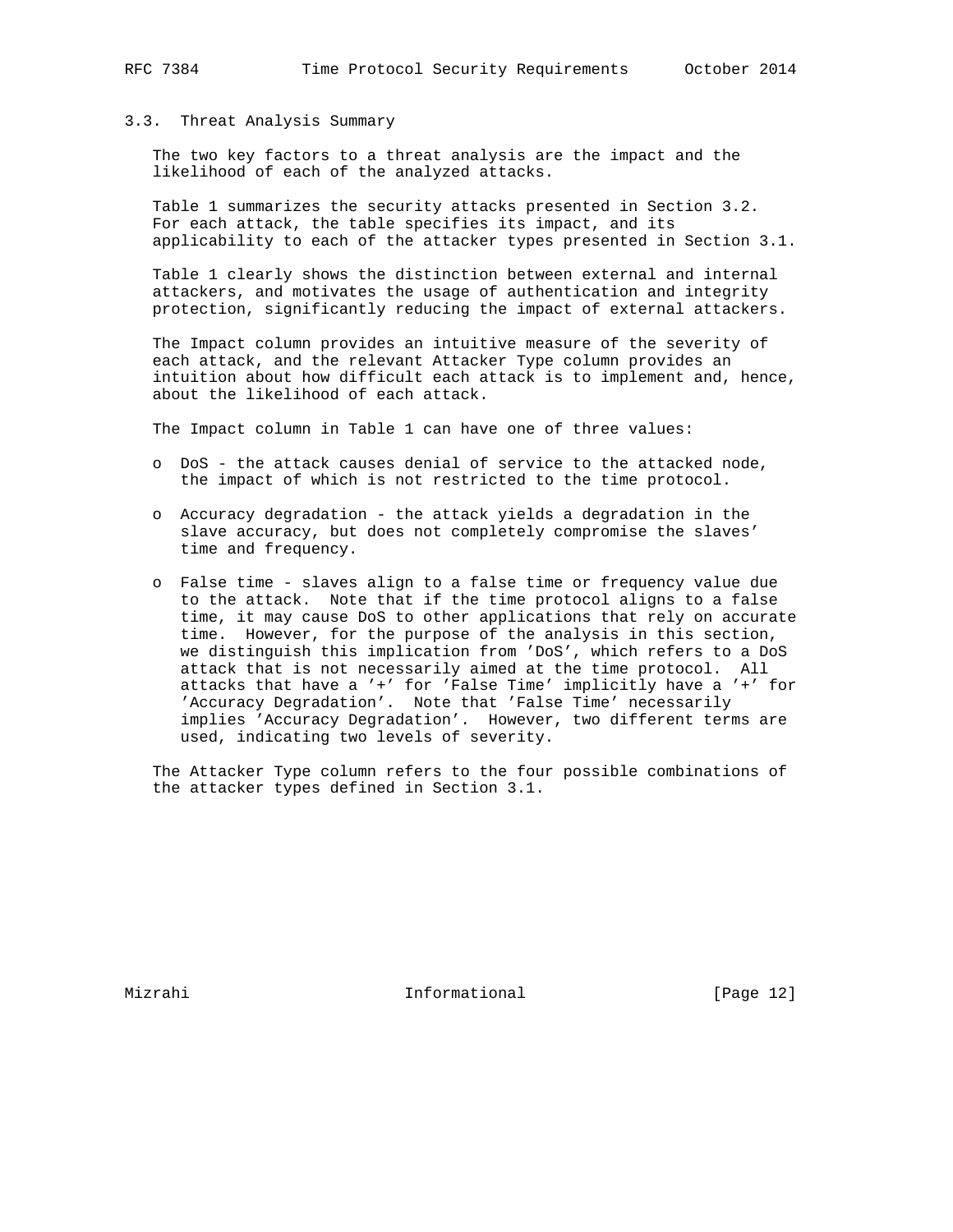## 3.3. Threat Analysis Summary

 The two key factors to a threat analysis are the impact and the likelihood of each of the analyzed attacks.

 Table 1 summarizes the security attacks presented in Section 3.2. For each attack, the table specifies its impact, and its applicability to each of the attacker types presented in Section 3.1.

 Table 1 clearly shows the distinction between external and internal attackers, and motivates the usage of authentication and integrity protection, significantly reducing the impact of external attackers.

 The Impact column provides an intuitive measure of the severity of each attack, and the relevant Attacker Type column provides an intuition about how difficult each attack is to implement and, hence, about the likelihood of each attack.

The Impact column in Table 1 can have one of three values:

- o DoS the attack causes denial of service to the attacked node, the impact of which is not restricted to the time protocol.
- o Accuracy degradation the attack yields a degradation in the slave accuracy, but does not completely compromise the slaves' time and frequency.
- o False time slaves align to a false time or frequency value due to the attack. Note that if the time protocol aligns to a false time, it may cause DoS to other applications that rely on accurate time. However, for the purpose of the analysis in this section, we distinguish this implication from 'DoS', which refers to a DoS attack that is not necessarily aimed at the time protocol. All attacks that have a '+' for 'False Time' implicitly have a '+' for 'Accuracy Degradation'. Note that 'False Time' necessarily implies 'Accuracy Degradation'. However, two different terms are used, indicating two levels of severity.

 The Attacker Type column refers to the four possible combinations of the attacker types defined in Section 3.1.

Mizrahi Informational [Page 12]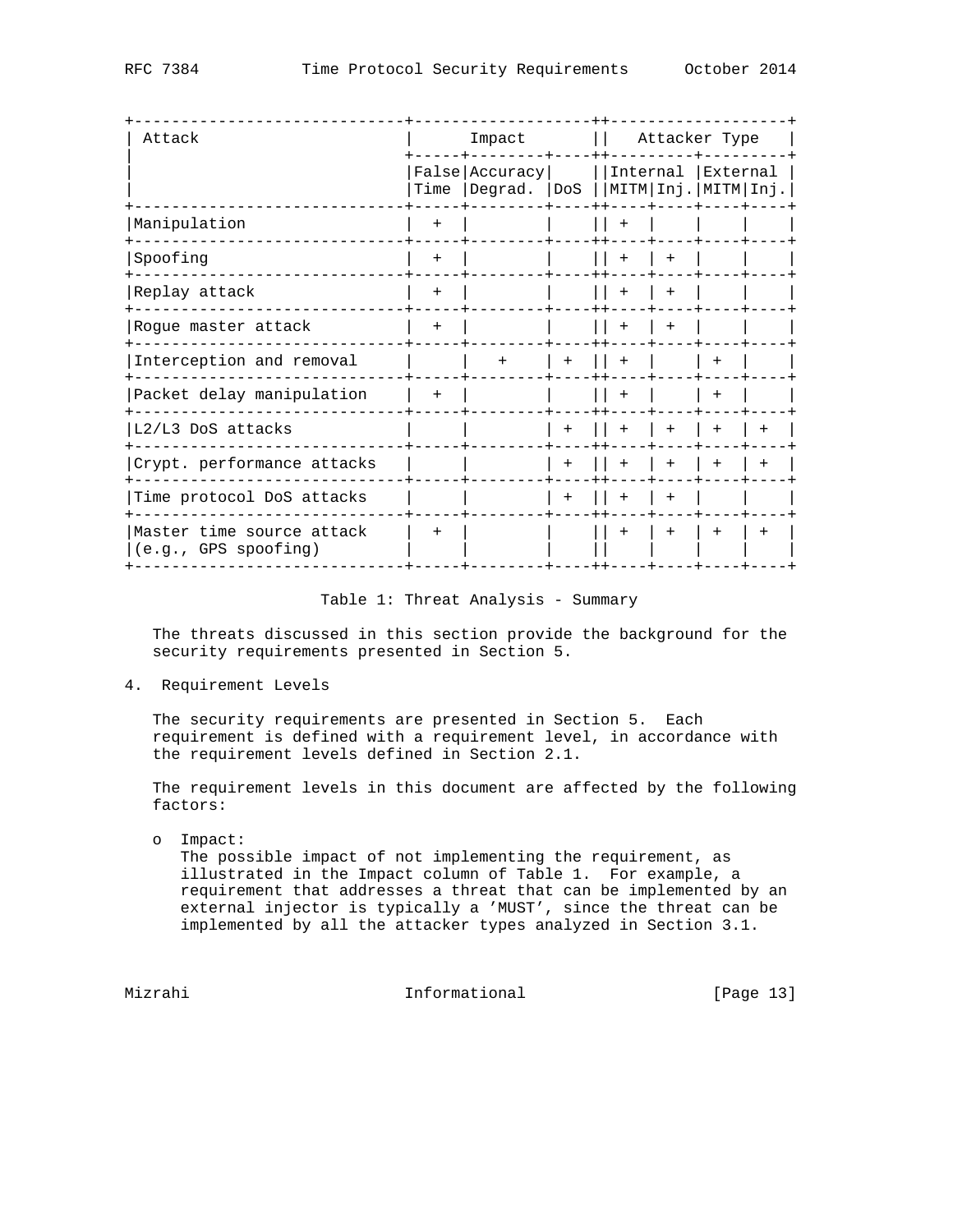| Attack                                            |        | Impact                                                                      | Attacker Type |     |        |     |     |
|---------------------------------------------------|--------|-----------------------------------------------------------------------------|---------------|-----|--------|-----|-----|
|                                                   | Time   | False Accuracy     Internal External<br> Degrad.  DoS   MITM Inj. MITM Inj. |               |     |        |     |     |
| Manipulation                                      | $^{+}$ |                                                                             |               | $+$ |        |     |     |
| Spoofing                                          | $+$    |                                                                             |               | $+$ | $^{+}$ |     |     |
| Replay attack                                     | $+$    |                                                                             |               | $+$ | $+$    |     |     |
| Rogue master attack                               | $+$    |                                                                             |               | $+$ | $+$    |     |     |
| Interception and removal                          |        | $+$                                                                         | $+$           |     |        |     |     |
| Packet delay manipulation                         | $+$    |                                                                             |               | $+$ |        |     |     |
| L2/L3 DoS attacks                                 |        |                                                                             | $+$           | $+$ | $+$    |     |     |
| Crypt. performance attacks                        |        |                                                                             | $+$           | $+$ | $+$    | $+$ |     |
| Time protocol DoS attacks                         |        |                                                                             | $+$           | $+$ | $+$    |     |     |
| Master time source attack<br>(e.g., GPS spoofing) | $+$    |                                                                             |               | $+$ | $+$    | $+$ | $+$ |

# Table 1: Threat Analysis - Summary

 The threats discussed in this section provide the background for the security requirements presented in Section 5.

4. Requirement Levels

 The security requirements are presented in Section 5. Each requirement is defined with a requirement level, in accordance with the requirement levels defined in Section 2.1.

 The requirement levels in this document are affected by the following factors:

o Impact:

 The possible impact of not implementing the requirement, as illustrated in the Impact column of Table 1. For example, a requirement that addresses a threat that can be implemented by an external injector is typically a 'MUST', since the threat can be implemented by all the attacker types analyzed in Section 3.1.

Mizrahi 10. Informational [Page 13]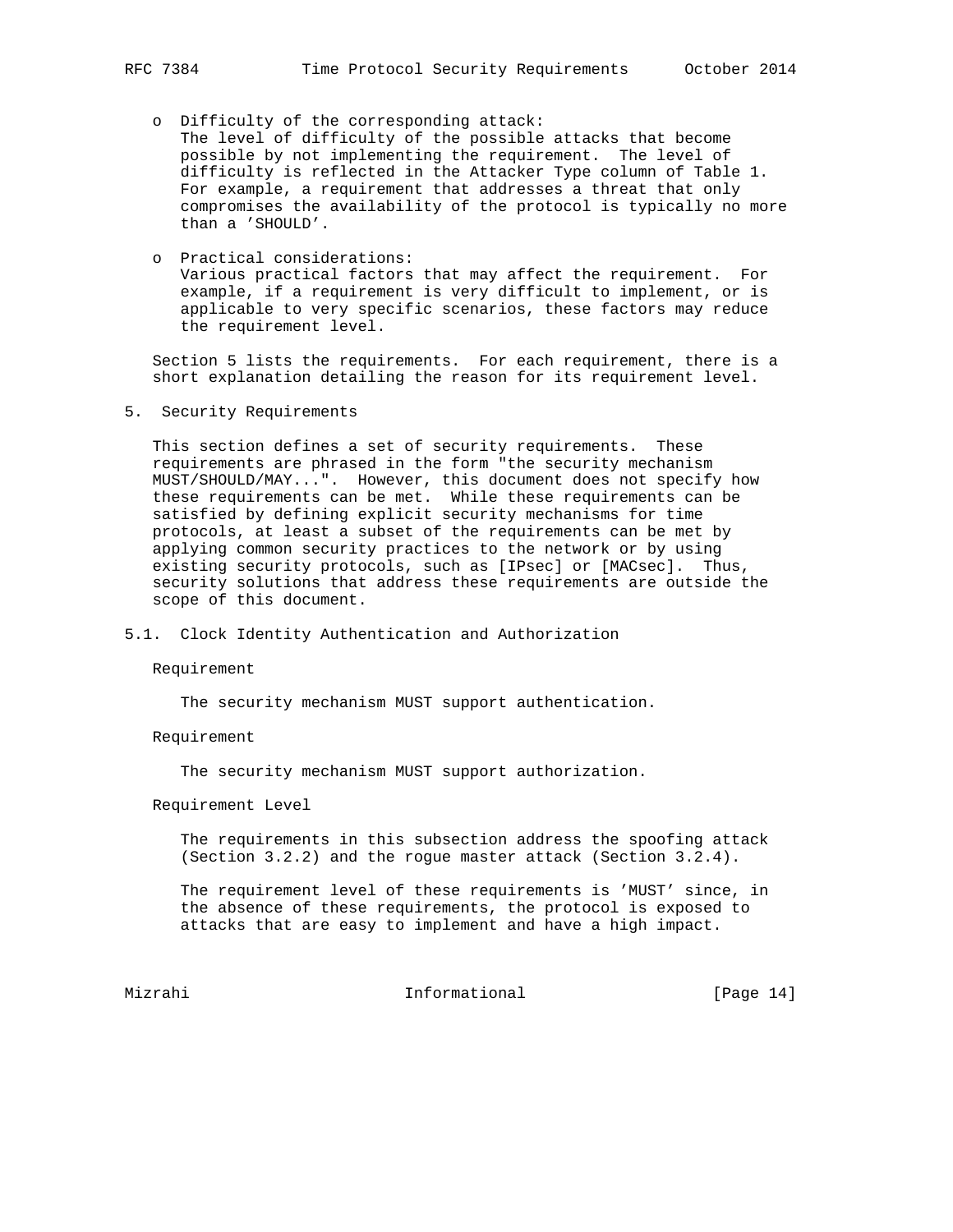- o Difficulty of the corresponding attack: The level of difficulty of the possible attacks that become
	- possible by not implementing the requirement. The level of difficulty is reflected in the Attacker Type column of Table 1. For example, a requirement that addresses a threat that only compromises the availability of the protocol is typically no more than a 'SHOULD'.
- o Practical considerations: Various practical factors that may affect the requirement. For example, if a requirement is very difficult to implement, or is applicable to very specific scenarios, these factors may reduce the requirement level.

 Section 5 lists the requirements. For each requirement, there is a short explanation detailing the reason for its requirement level.

5. Security Requirements

 This section defines a set of security requirements. These requirements are phrased in the form "the security mechanism MUST/SHOULD/MAY...". However, this document does not specify how these requirements can be met. While these requirements can be satisfied by defining explicit security mechanisms for time protocols, at least a subset of the requirements can be met by applying common security practices to the network or by using existing security protocols, such as [IPsec] or [MACsec]. Thus, security solutions that address these requirements are outside the scope of this document.

5.1. Clock Identity Authentication and Authorization

#### Requirement

The security mechanism MUST support authentication.

Requirement

The security mechanism MUST support authorization.

Requirement Level

 The requirements in this subsection address the spoofing attack (Section 3.2.2) and the rogue master attack (Section 3.2.4).

 The requirement level of these requirements is 'MUST' since, in the absence of these requirements, the protocol is exposed to attacks that are easy to implement and have a high impact.

Mizrahi 10. Informational [Page 14]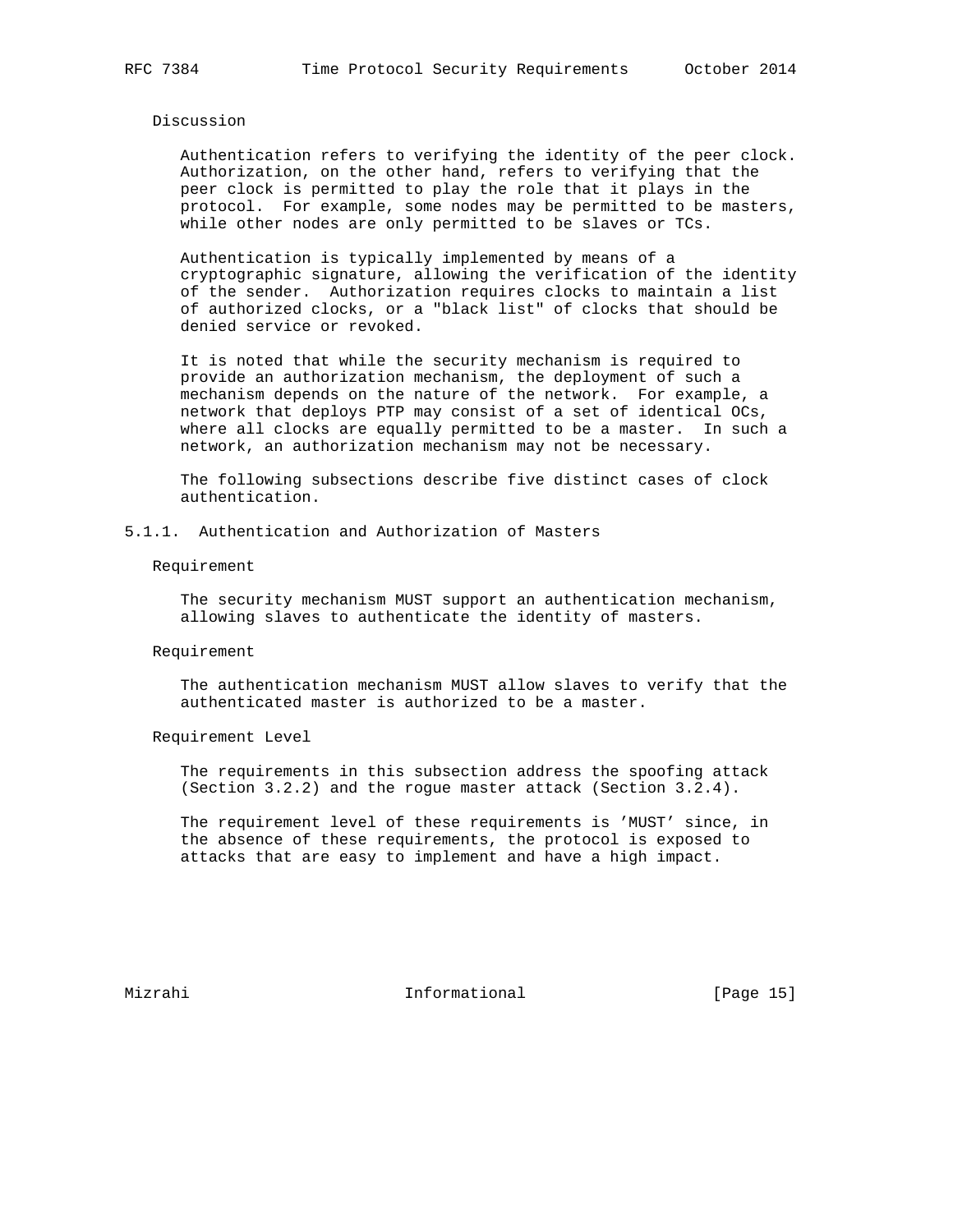## Discussion

 Authentication refers to verifying the identity of the peer clock. Authorization, on the other hand, refers to verifying that the peer clock is permitted to play the role that it plays in the protocol. For example, some nodes may be permitted to be masters, while other nodes are only permitted to be slaves or TCs.

 Authentication is typically implemented by means of a cryptographic signature, allowing the verification of the identity of the sender. Authorization requires clocks to maintain a list of authorized clocks, or a "black list" of clocks that should be denied service or revoked.

 It is noted that while the security mechanism is required to provide an authorization mechanism, the deployment of such a mechanism depends on the nature of the network. For example, a network that deploys PTP may consist of a set of identical OCs, where all clocks are equally permitted to be a master. In such a network, an authorization mechanism may not be necessary.

 The following subsections describe five distinct cases of clock authentication.

5.1.1. Authentication and Authorization of Masters

#### Requirement

 The security mechanism MUST support an authentication mechanism, allowing slaves to authenticate the identity of masters.

#### Requirement

 The authentication mechanism MUST allow slaves to verify that the authenticated master is authorized to be a master.

Requirement Level

 The requirements in this subsection address the spoofing attack (Section 3.2.2) and the rogue master attack (Section 3.2.4).

 The requirement level of these requirements is 'MUST' since, in the absence of these requirements, the protocol is exposed to attacks that are easy to implement and have a high impact.

Mizrahi **Informational** [Page 15]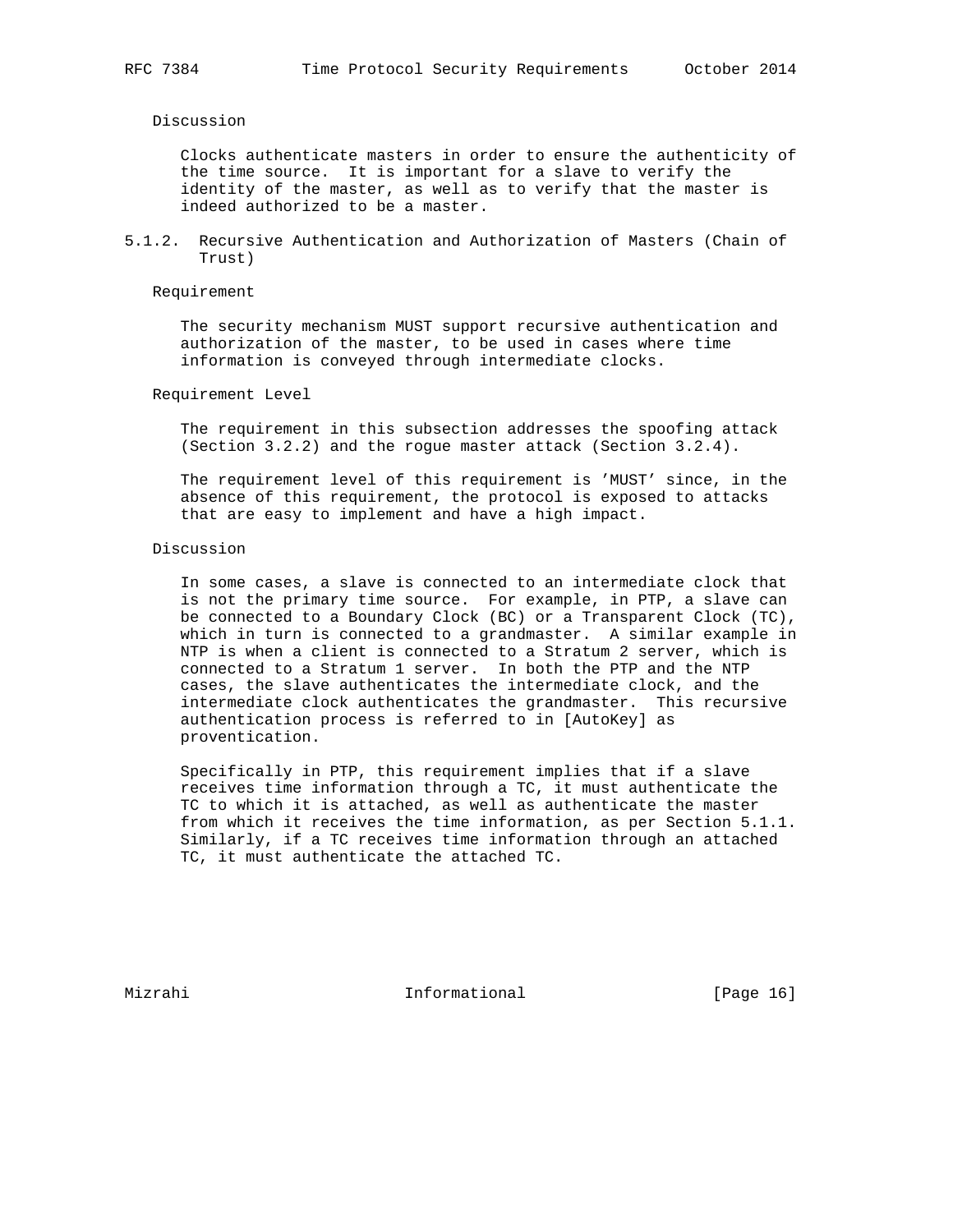Discussion

 Clocks authenticate masters in order to ensure the authenticity of the time source. It is important for a slave to verify the identity of the master, as well as to verify that the master is indeed authorized to be a master.

5.1.2. Recursive Authentication and Authorization of Masters (Chain of Trust)

Requirement

 The security mechanism MUST support recursive authentication and authorization of the master, to be used in cases where time information is conveyed through intermediate clocks.

Requirement Level

 The requirement in this subsection addresses the spoofing attack (Section 3.2.2) and the rogue master attack (Section 3.2.4).

 The requirement level of this requirement is 'MUST' since, in the absence of this requirement, the protocol is exposed to attacks that are easy to implement and have a high impact.

Discussion

 In some cases, a slave is connected to an intermediate clock that is not the primary time source. For example, in PTP, a slave can be connected to a Boundary Clock (BC) or a Transparent Clock (TC), which in turn is connected to a grandmaster. A similar example in NTP is when a client is connected to a Stratum 2 server, which is connected to a Stratum 1 server. In both the PTP and the NTP cases, the slave authenticates the intermediate clock, and the intermediate clock authenticates the grandmaster. This recursive authentication process is referred to in [AutoKey] as proventication.

 Specifically in PTP, this requirement implies that if a slave receives time information through a TC, it must authenticate the TC to which it is attached, as well as authenticate the master from which it receives the time information, as per Section 5.1.1. Similarly, if a TC receives time information through an attached TC, it must authenticate the attached TC.

Mizrahi **Informational** [Page 16]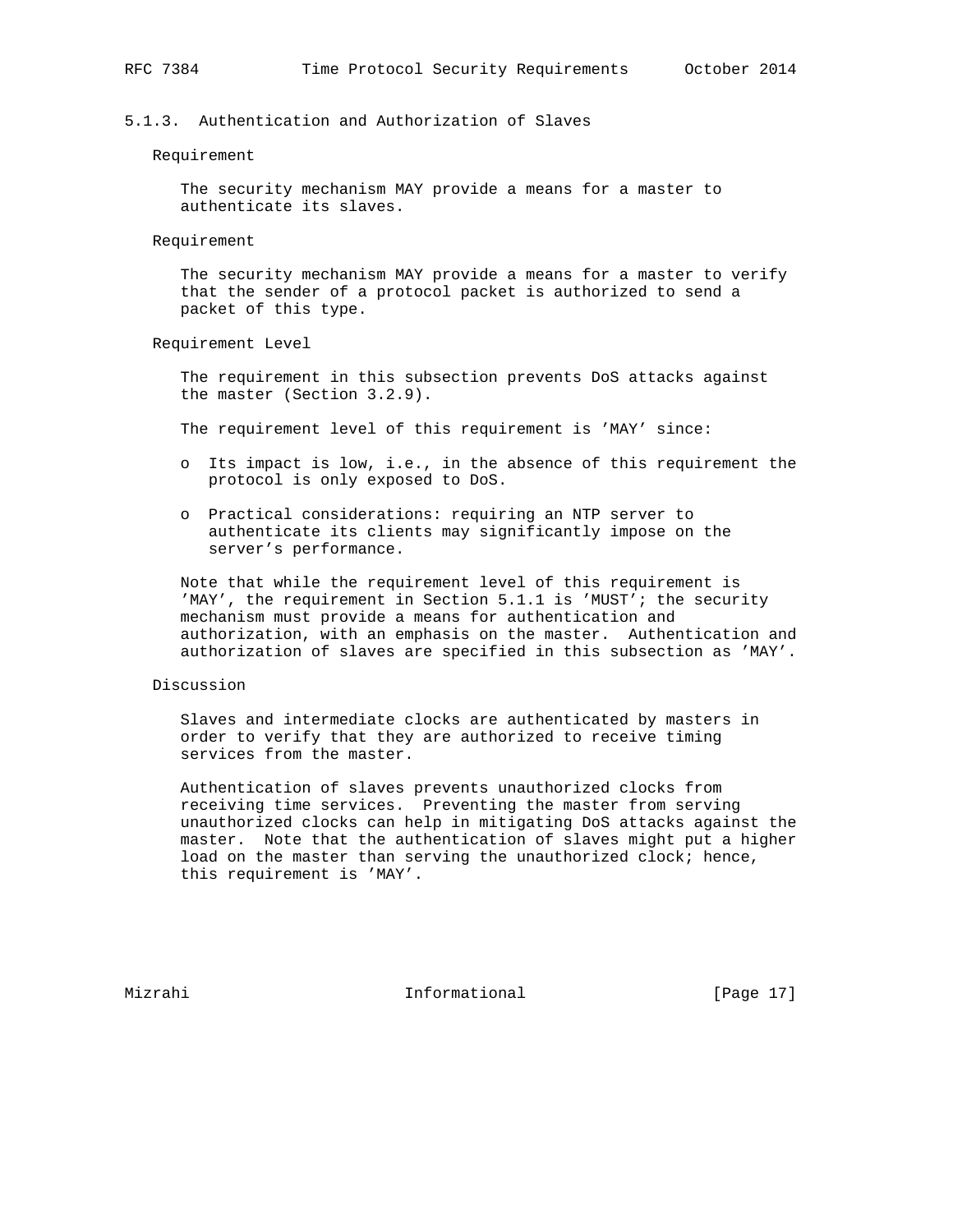# 5.1.3. Authentication and Authorization of Slaves

#### Requirement

 The security mechanism MAY provide a means for a master to authenticate its slaves.

Requirement

 The security mechanism MAY provide a means for a master to verify that the sender of a protocol packet is authorized to send a packet of this type.

Requirement Level

 The requirement in this subsection prevents DoS attacks against the master (Section 3.2.9).

The requirement level of this requirement is 'MAY' since:

- o Its impact is low, i.e., in the absence of this requirement the protocol is only exposed to DoS.
- o Practical considerations: requiring an NTP server to authenticate its clients may significantly impose on the server's performance.

 Note that while the requirement level of this requirement is 'MAY', the requirement in Section 5.1.1 is 'MUST'; the security mechanism must provide a means for authentication and authorization, with an emphasis on the master. Authentication and authorization of slaves are specified in this subsection as 'MAY'.

# Discussion

 Slaves and intermediate clocks are authenticated by masters in order to verify that they are authorized to receive timing services from the master.

 Authentication of slaves prevents unauthorized clocks from receiving time services. Preventing the master from serving unauthorized clocks can help in mitigating DoS attacks against the master. Note that the authentication of slaves might put a higher load on the master than serving the unauthorized clock; hence, this requirement is 'MAY'.

Mizrahi 10 Informational [Page 17]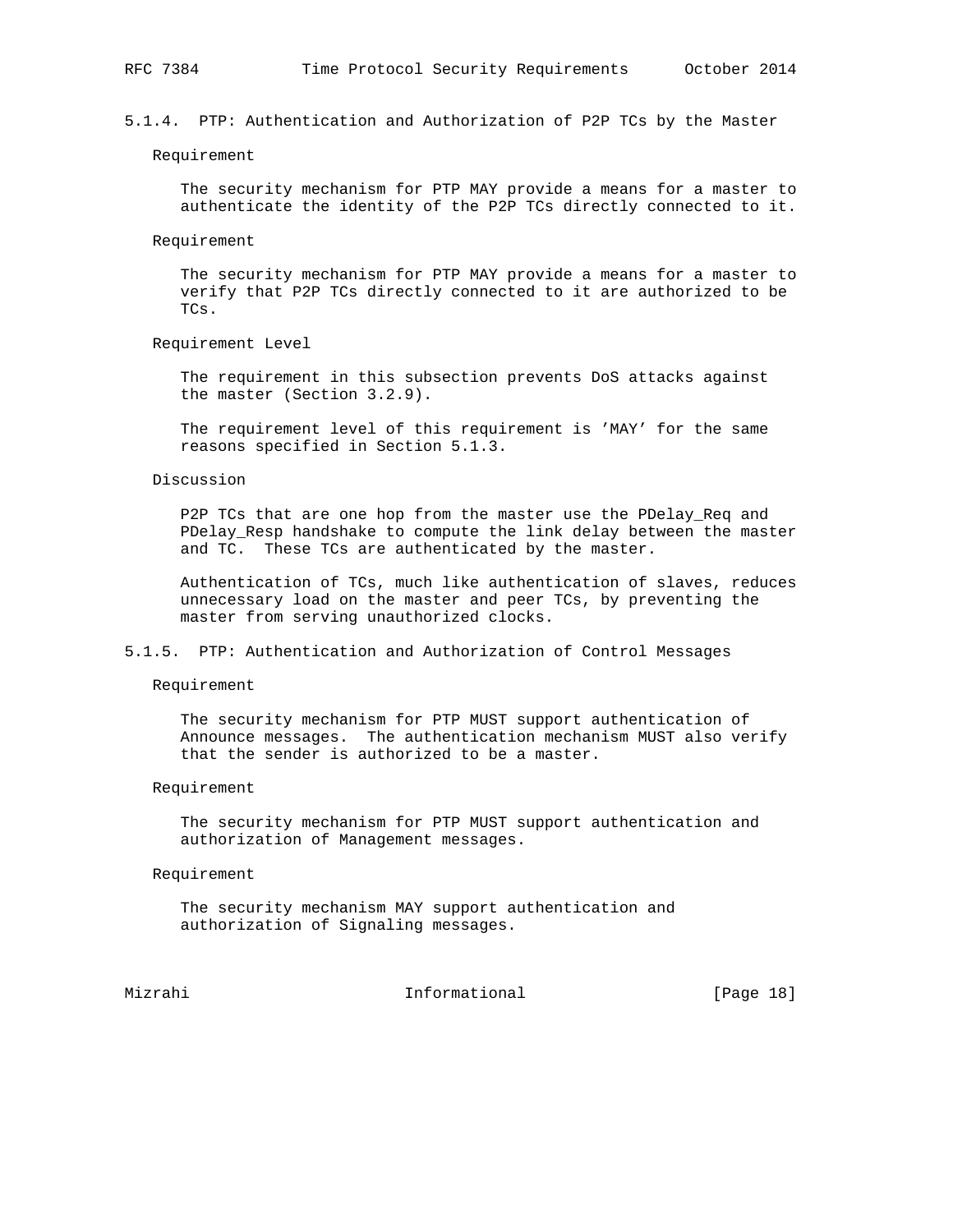Requirement

 The security mechanism for PTP MAY provide a means for a master to authenticate the identity of the P2P TCs directly connected to it.

Requirement

 The security mechanism for PTP MAY provide a means for a master to verify that P2P TCs directly connected to it are authorized to be TCs.

Requirement Level

 The requirement in this subsection prevents DoS attacks against the master (Section 3.2.9).

 The requirement level of this requirement is 'MAY' for the same reasons specified in Section 5.1.3.

Discussion

P2P TCs that are one hop from the master use the PDelay\_Req and PDelay\_Resp handshake to compute the link delay between the master and TC. These TCs are authenticated by the master.

 Authentication of TCs, much like authentication of slaves, reduces unnecessary load on the master and peer TCs, by preventing the master from serving unauthorized clocks.

5.1.5. PTP: Authentication and Authorization of Control Messages

Requirement

 The security mechanism for PTP MUST support authentication of Announce messages. The authentication mechanism MUST also verify that the sender is authorized to be a master.

Requirement

 The security mechanism for PTP MUST support authentication and authorization of Management messages.

Requirement

 The security mechanism MAY support authentication and authorization of Signaling messages.

Mizrahi Informational [Page 18]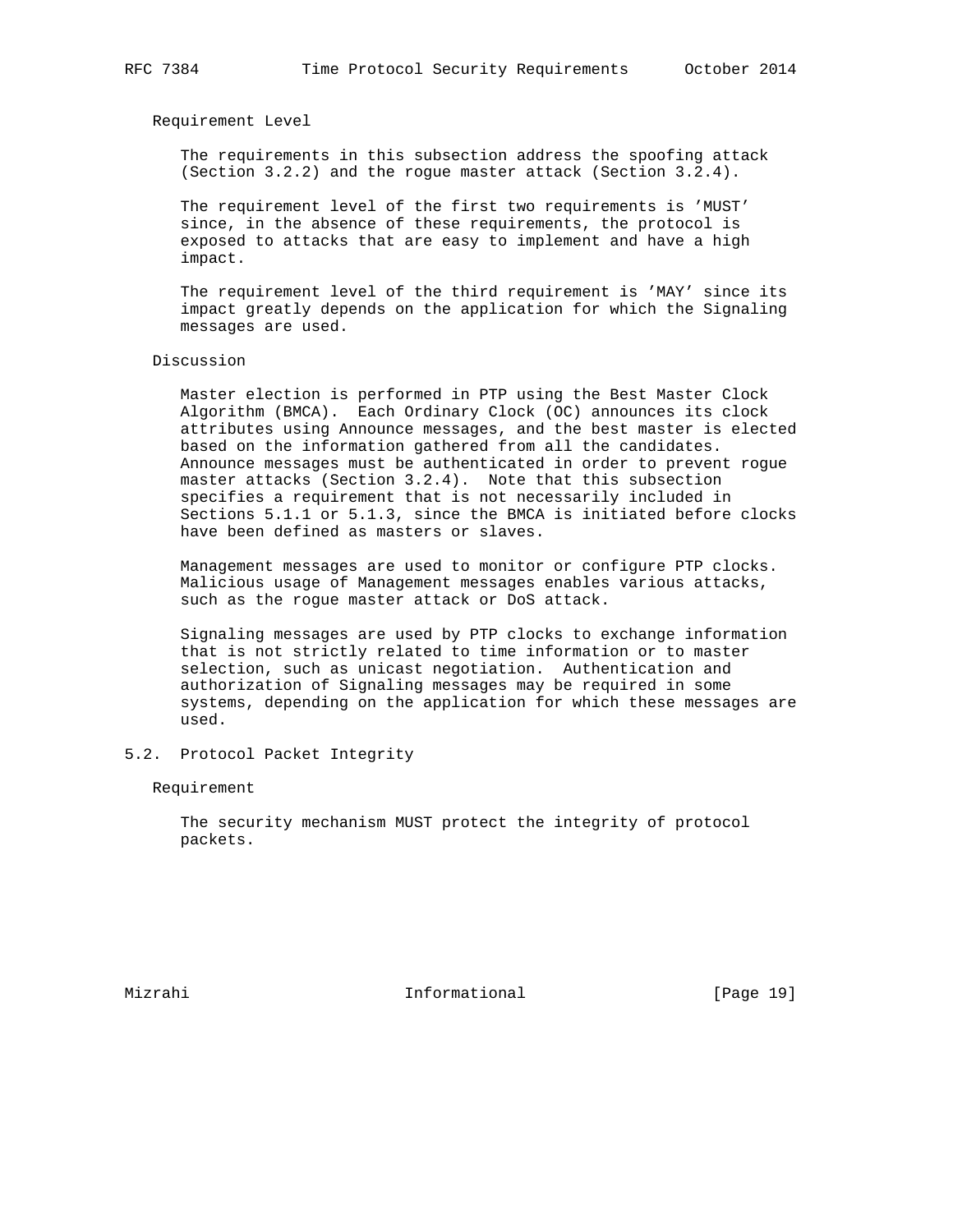Requirement Level

 The requirements in this subsection address the spoofing attack (Section 3.2.2) and the rogue master attack (Section 3.2.4).

 The requirement level of the first two requirements is 'MUST' since, in the absence of these requirements, the protocol is exposed to attacks that are easy to implement and have a high impact.

 The requirement level of the third requirement is 'MAY' since its impact greatly depends on the application for which the Signaling messages are used.

Discussion

 Master election is performed in PTP using the Best Master Clock Algorithm (BMCA). Each Ordinary Clock (OC) announces its clock attributes using Announce messages, and the best master is elected based on the information gathered from all the candidates. Announce messages must be authenticated in order to prevent rogue master attacks (Section 3.2.4). Note that this subsection specifies a requirement that is not necessarily included in Sections 5.1.1 or 5.1.3, since the BMCA is initiated before clocks have been defined as masters or slaves.

 Management messages are used to monitor or configure PTP clocks. Malicious usage of Management messages enables various attacks, such as the rogue master attack or DoS attack.

 Signaling messages are used by PTP clocks to exchange information that is not strictly related to time information or to master selection, such as unicast negotiation. Authentication and authorization of Signaling messages may be required in some systems, depending on the application for which these messages are used.

## 5.2. Protocol Packet Integrity

Requirement

 The security mechanism MUST protect the integrity of protocol packets.

Mizrahi Informational [Page 19]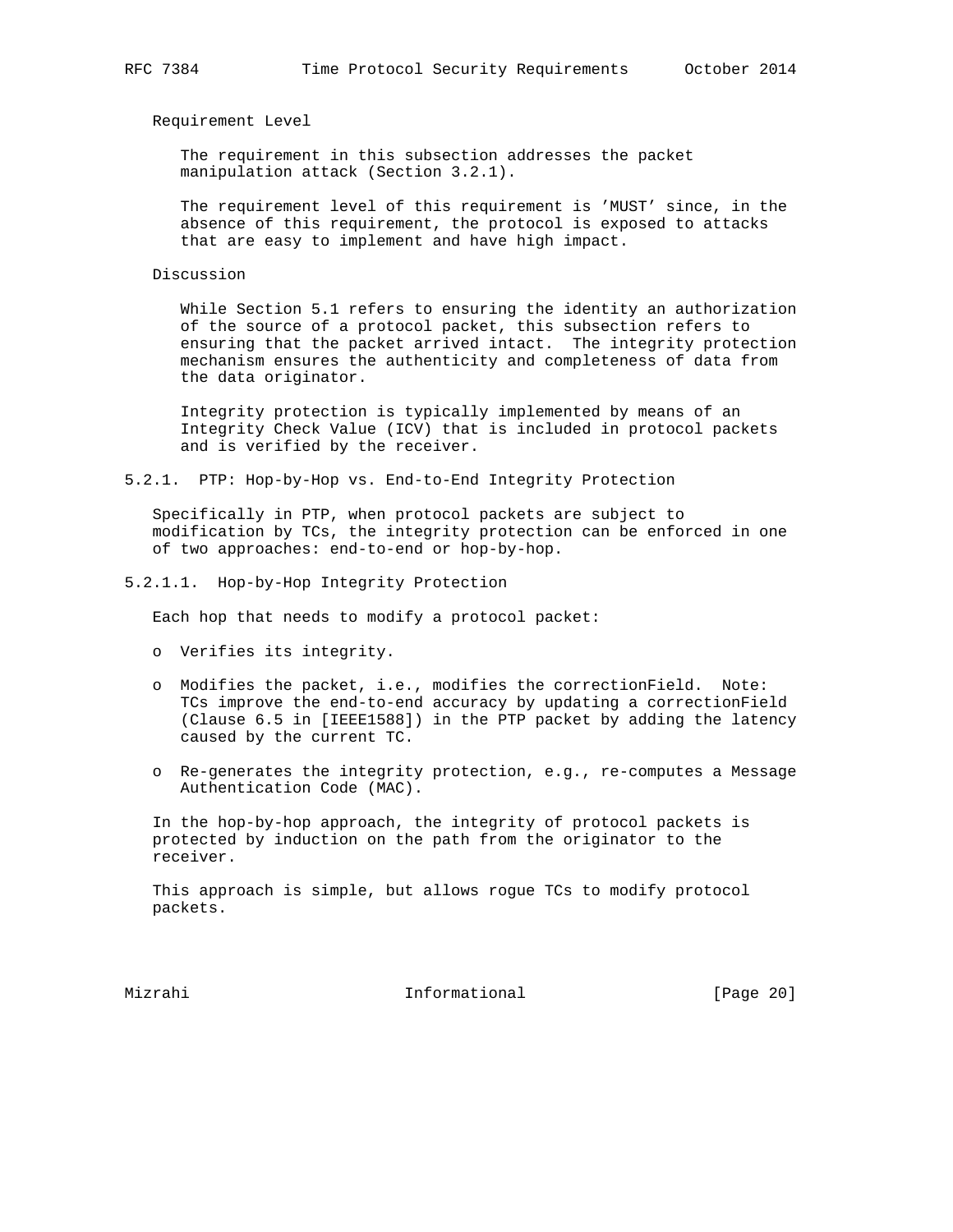Requirement Level

 The requirement in this subsection addresses the packet manipulation attack (Section 3.2.1).

 The requirement level of this requirement is 'MUST' since, in the absence of this requirement, the protocol is exposed to attacks that are easy to implement and have high impact.

Discussion

 While Section 5.1 refers to ensuring the identity an authorization of the source of a protocol packet, this subsection refers to ensuring that the packet arrived intact. The integrity protection mechanism ensures the authenticity and completeness of data from the data originator.

 Integrity protection is typically implemented by means of an Integrity Check Value (ICV) that is included in protocol packets and is verified by the receiver.

5.2.1. PTP: Hop-by-Hop vs. End-to-End Integrity Protection

 Specifically in PTP, when protocol packets are subject to modification by TCs, the integrity protection can be enforced in one of two approaches: end-to-end or hop-by-hop.

5.2.1.1. Hop-by-Hop Integrity Protection

Each hop that needs to modify a protocol packet:

- o Verifies its integrity.
- o Modifies the packet, i.e., modifies the correctionField. Note: TCs improve the end-to-end accuracy by updating a correctionField (Clause 6.5 in [IEEE1588]) in the PTP packet by adding the latency caused by the current TC.
- o Re-generates the integrity protection, e.g., re-computes a Message Authentication Code (MAC).

 In the hop-by-hop approach, the integrity of protocol packets is protected by induction on the path from the originator to the receiver.

 This approach is simple, but allows rogue TCs to modify protocol packets.

Mizrahi Informational [Page 20]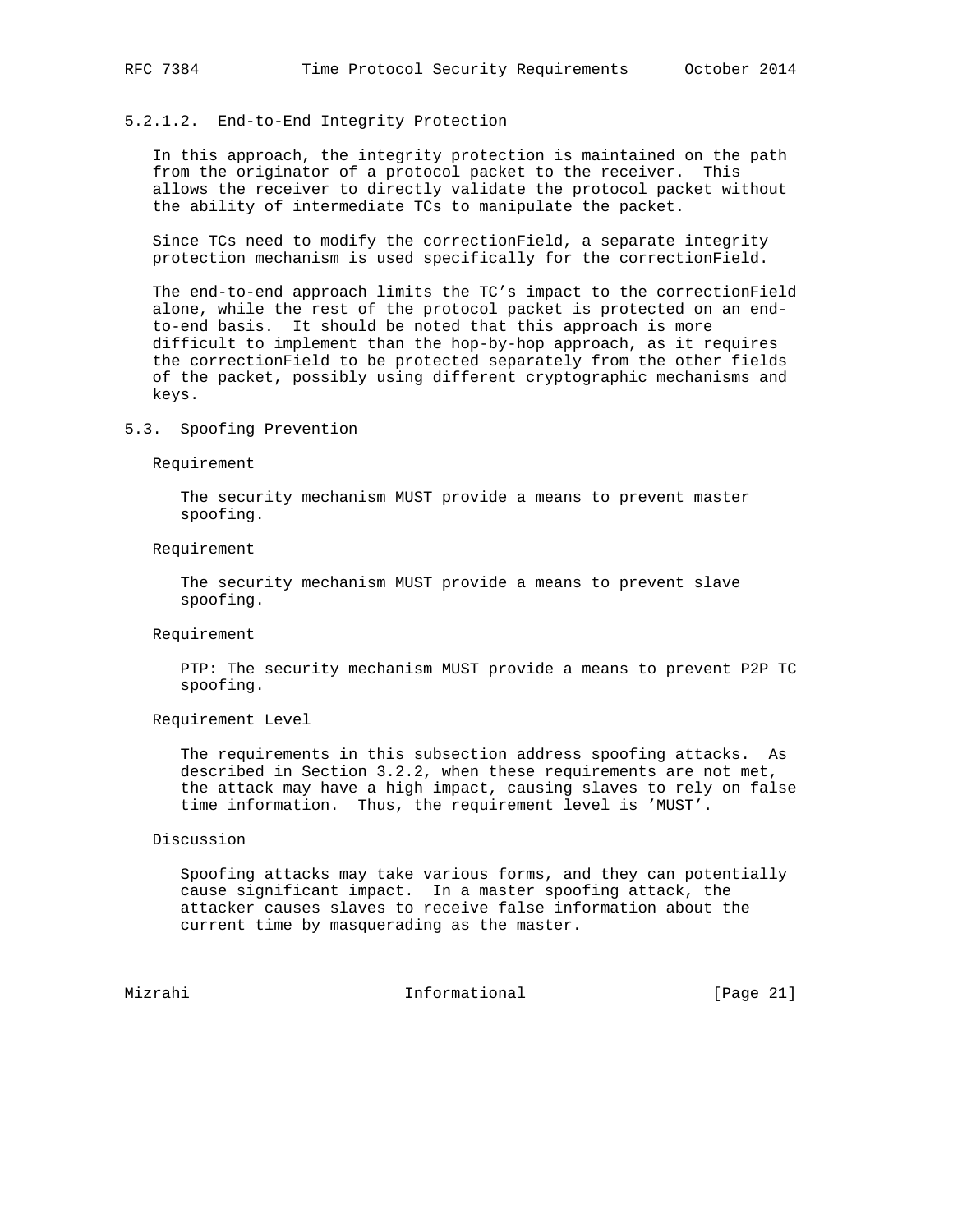# 5.2.1.2. End-to-End Integrity Protection

 In this approach, the integrity protection is maintained on the path from the originator of a protocol packet to the receiver. This allows the receiver to directly validate the protocol packet without the ability of intermediate TCs to manipulate the packet.

 Since TCs need to modify the correctionField, a separate integrity protection mechanism is used specifically for the correctionField.

 The end-to-end approach limits the TC's impact to the correctionField alone, while the rest of the protocol packet is protected on an end to-end basis. It should be noted that this approach is more difficult to implement than the hop-by-hop approach, as it requires the correctionField to be protected separately from the other fields of the packet, possibly using different cryptographic mechanisms and keys.

# 5.3. Spoofing Prevention

Requirement

 The security mechanism MUST provide a means to prevent master spoofing.

Requirement

 The security mechanism MUST provide a means to prevent slave spoofing.

#### Requirement

 PTP: The security mechanism MUST provide a means to prevent P2P TC spoofing.

Requirement Level

 The requirements in this subsection address spoofing attacks. As described in Section 3.2.2, when these requirements are not met, the attack may have a high impact, causing slaves to rely on false time information. Thus, the requirement level is 'MUST'.

# Discussion

 Spoofing attacks may take various forms, and they can potentially cause significant impact. In a master spoofing attack, the attacker causes slaves to receive false information about the current time by masquerading as the master.

Mizrahi 10. Informational [Page 21]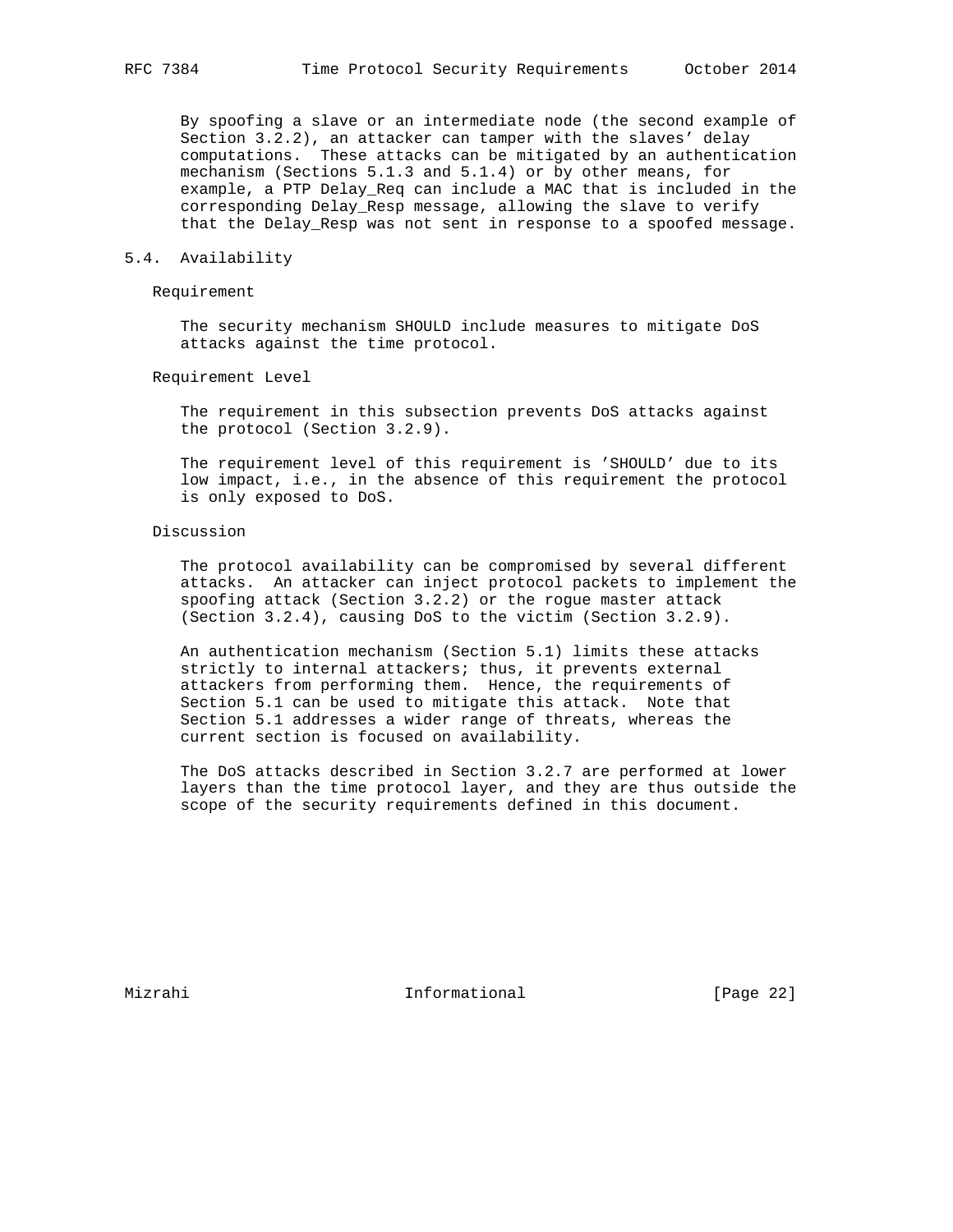By spoofing a slave or an intermediate node (the second example of Section 3.2.2), an attacker can tamper with the slaves' delay computations. These attacks can be mitigated by an authentication mechanism (Sections 5.1.3 and 5.1.4) or by other means, for example, a PTP Delay\_Req can include a MAC that is included in the corresponding Delay\_Resp message, allowing the slave to verify that the Delay\_Resp was not sent in response to a spoofed message.

# 5.4. Availability

## Requirement

 The security mechanism SHOULD include measures to mitigate DoS attacks against the time protocol.

Requirement Level

 The requirement in this subsection prevents DoS attacks against the protocol (Section 3.2.9).

 The requirement level of this requirement is 'SHOULD' due to its low impact, i.e., in the absence of this requirement the protocol is only exposed to DoS.

# Discussion

 The protocol availability can be compromised by several different attacks. An attacker can inject protocol packets to implement the spoofing attack (Section 3.2.2) or the rogue master attack (Section 3.2.4), causing DoS to the victim (Section 3.2.9).

 An authentication mechanism (Section 5.1) limits these attacks strictly to internal attackers; thus, it prevents external attackers from performing them. Hence, the requirements of Section 5.1 can be used to mitigate this attack. Note that Section 5.1 addresses a wider range of threats, whereas the current section is focused on availability.

 The DoS attacks described in Section 3.2.7 are performed at lower layers than the time protocol layer, and they are thus outside the scope of the security requirements defined in this document.

Mizrahi Informational [Page 22]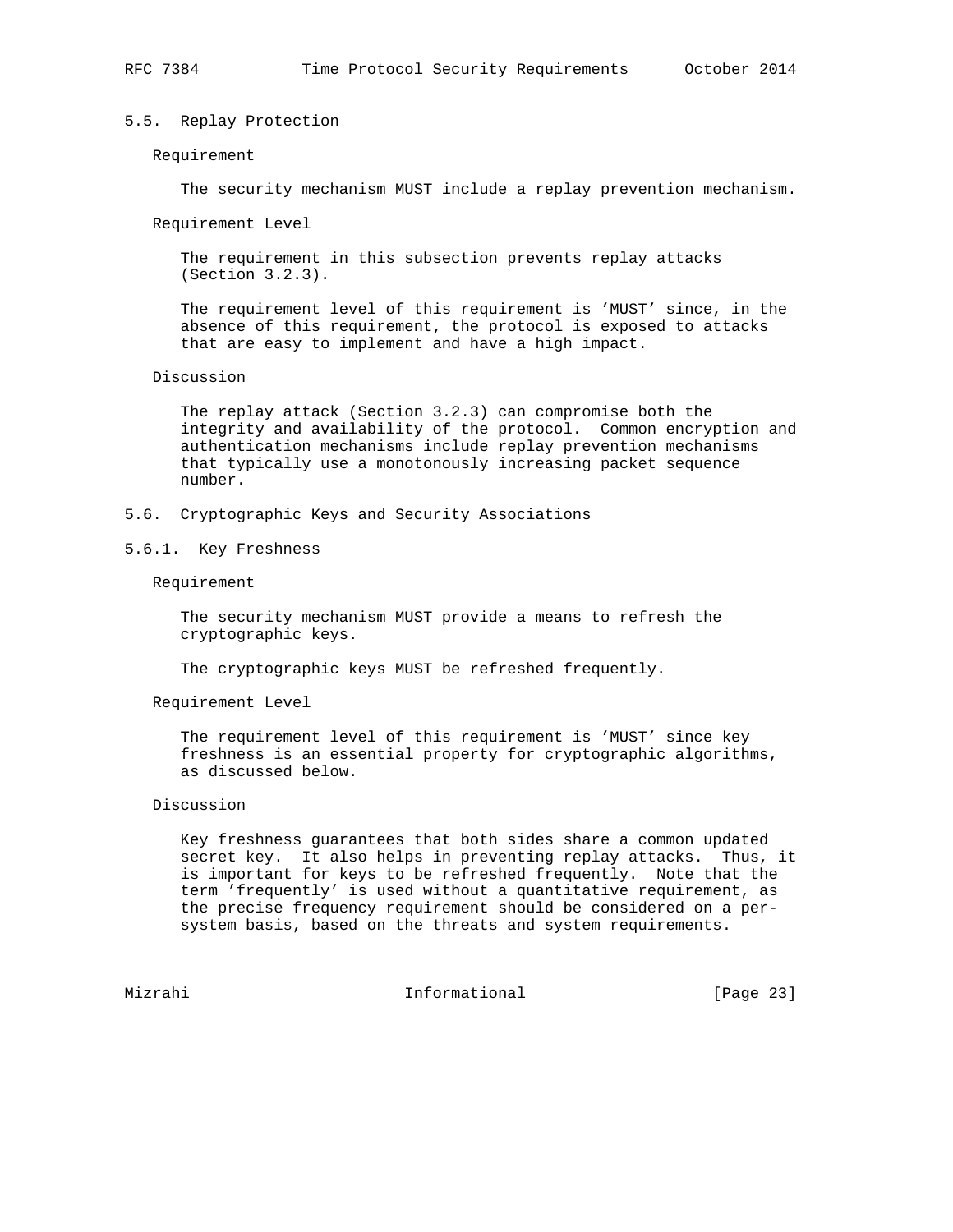# 5.5. Replay Protection

#### Requirement

The security mechanism MUST include a replay prevention mechanism.

Requirement Level

 The requirement in this subsection prevents replay attacks (Section 3.2.3).

 The requirement level of this requirement is 'MUST' since, in the absence of this requirement, the protocol is exposed to attacks that are easy to implement and have a high impact.

#### Discussion

 The replay attack (Section 3.2.3) can compromise both the integrity and availability of the protocol. Common encryption and authentication mechanisms include replay prevention mechanisms that typically use a monotonously increasing packet sequence number.

- 5.6. Cryptographic Keys and Security Associations
- 5.6.1. Key Freshness

Requirement

 The security mechanism MUST provide a means to refresh the cryptographic keys.

The cryptographic keys MUST be refreshed frequently.

Requirement Level

 The requirement level of this requirement is 'MUST' since key freshness is an essential property for cryptographic algorithms, as discussed below.

# Discussion

 Key freshness guarantees that both sides share a common updated secret key. It also helps in preventing replay attacks. Thus, it is important for keys to be refreshed frequently. Note that the term 'frequently' is used without a quantitative requirement, as the precise frequency requirement should be considered on a per system basis, based on the threats and system requirements.

Mizrahi Informational [Page 23]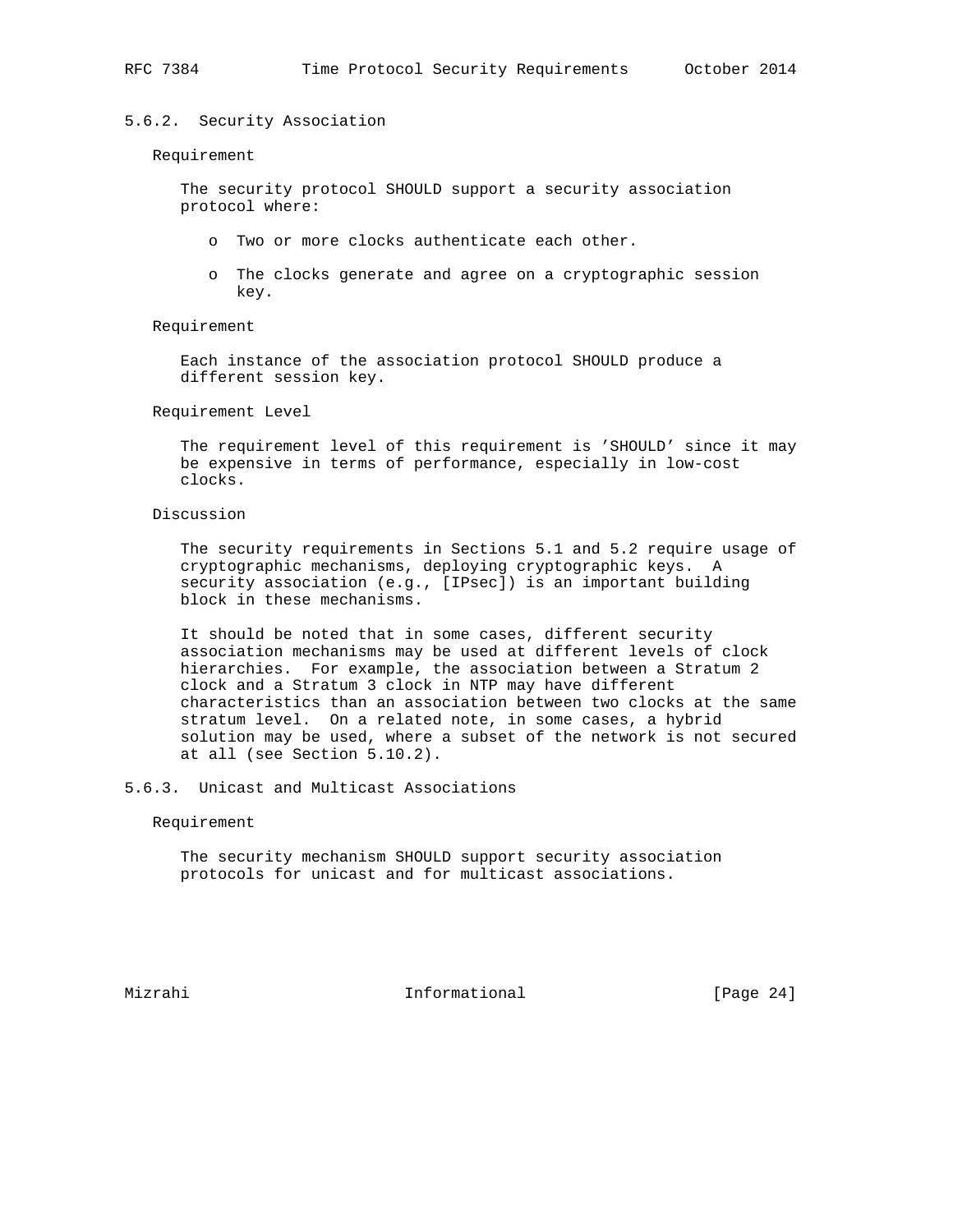## 5.6.2. Security Association

#### Requirement

 The security protocol SHOULD support a security association protocol where:

- o Two or more clocks authenticate each other.
- o The clocks generate and agree on a cryptographic session key.

# Requirement

 Each instance of the association protocol SHOULD produce a different session key.

#### Requirement Level

 The requirement level of this requirement is 'SHOULD' since it may be expensive in terms of performance, especially in low-cost clocks.

## Discussion

 The security requirements in Sections 5.1 and 5.2 require usage of cryptographic mechanisms, deploying cryptographic keys. A security association (e.g., [IPsec]) is an important building block in these mechanisms.

 It should be noted that in some cases, different security association mechanisms may be used at different levels of clock hierarchies. For example, the association between a Stratum 2 clock and a Stratum 3 clock in NTP may have different characteristics than an association between two clocks at the same stratum level. On a related note, in some cases, a hybrid solution may be used, where a subset of the network is not secured at all (see Section 5.10.2).

# 5.6.3. Unicast and Multicast Associations

# Requirement

 The security mechanism SHOULD support security association protocols for unicast and for multicast associations.

Mizrahi Informational [Page 24]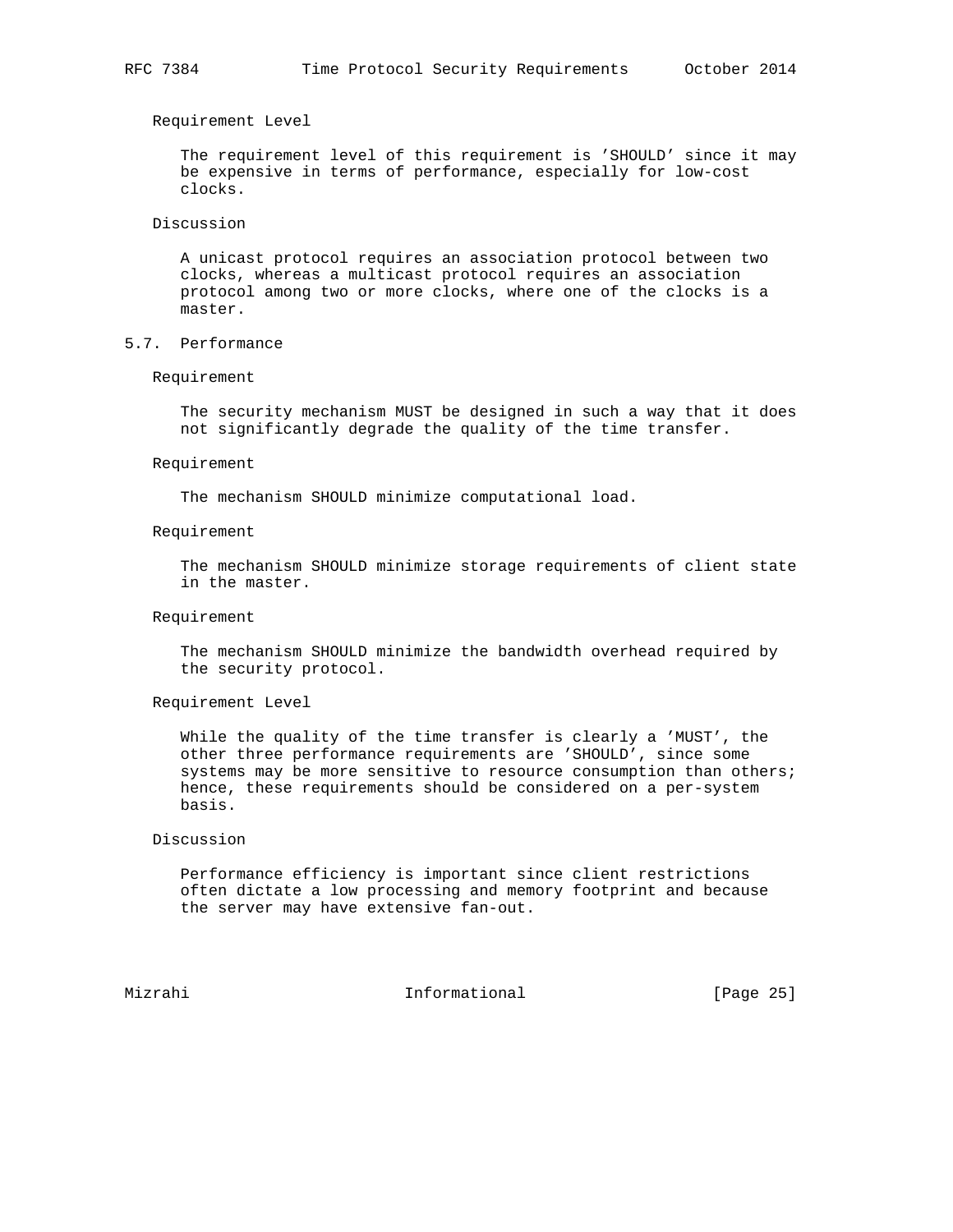Requirement Level

 The requirement level of this requirement is 'SHOULD' since it may be expensive in terms of performance, especially for low-cost clocks.

# Discussion

 A unicast protocol requires an association protocol between two clocks, whereas a multicast protocol requires an association protocol among two or more clocks, where one of the clocks is a master.

# 5.7. Performance

# Requirement

 The security mechanism MUST be designed in such a way that it does not significantly degrade the quality of the time transfer.

#### Requirement

The mechanism SHOULD minimize computational load.

#### Requirement

 The mechanism SHOULD minimize storage requirements of client state in the master.

## Requirement

 The mechanism SHOULD minimize the bandwidth overhead required by the security protocol.

Requirement Level

 While the quality of the time transfer is clearly a 'MUST', the other three performance requirements are 'SHOULD', since some systems may be more sensitive to resource consumption than others; hence, these requirements should be considered on a per-system basis.

# Discussion

 Performance efficiency is important since client restrictions often dictate a low processing and memory footprint and because the server may have extensive fan-out.

Mizrahi **Informational** [Page 25]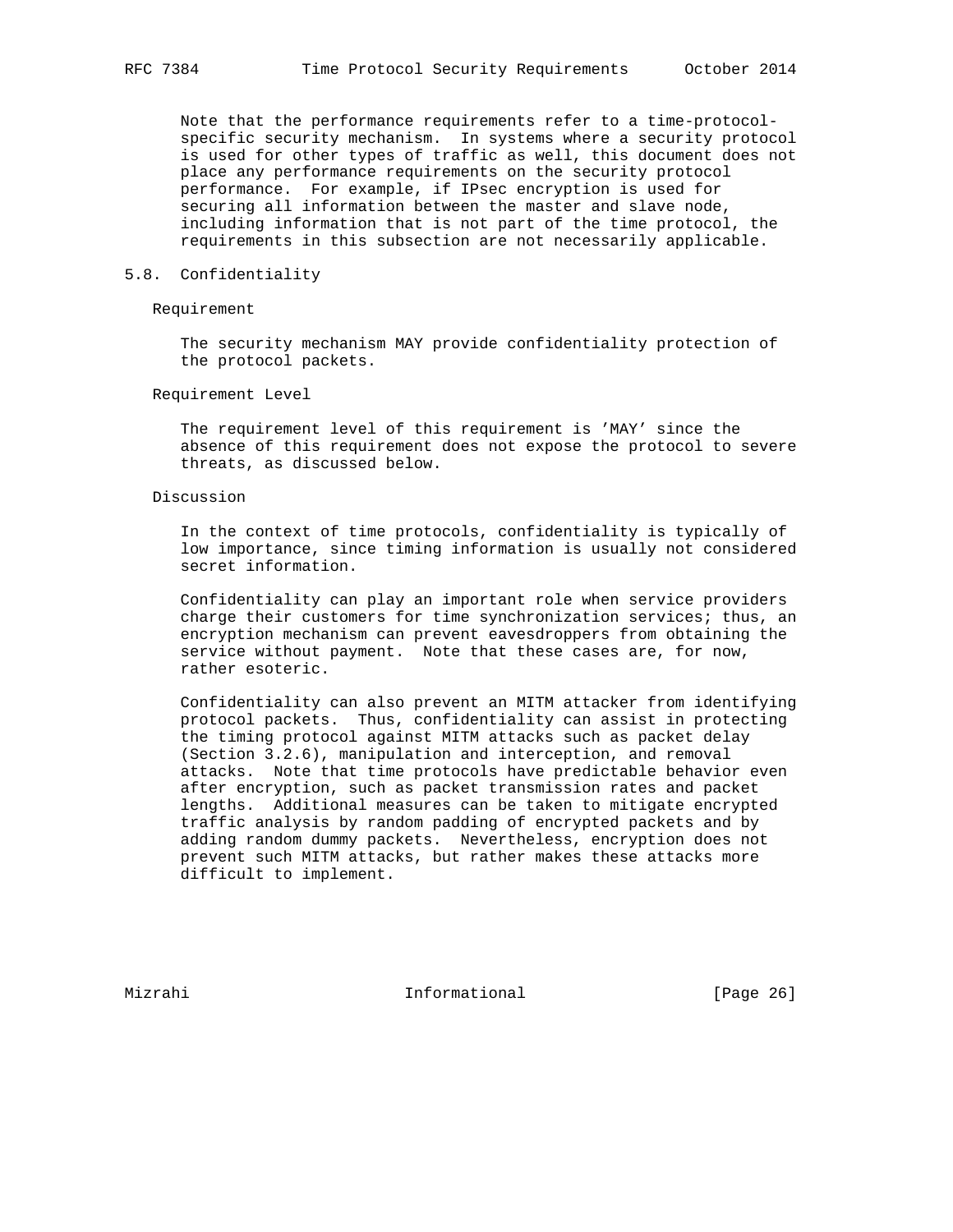Note that the performance requirements refer to a time-protocol specific security mechanism. In systems where a security protocol is used for other types of traffic as well, this document does not place any performance requirements on the security protocol performance. For example, if IPsec encryption is used for securing all information between the master and slave node, including information that is not part of the time protocol, the requirements in this subsection are not necessarily applicable.

## 5.8. Confidentiality

# Requirement

 The security mechanism MAY provide confidentiality protection of the protocol packets.

## Requirement Level

 The requirement level of this requirement is 'MAY' since the absence of this requirement does not expose the protocol to severe threats, as discussed below.

# Discussion

 In the context of time protocols, confidentiality is typically of low importance, since timing information is usually not considered secret information.

 Confidentiality can play an important role when service providers charge their customers for time synchronization services; thus, an encryption mechanism can prevent eavesdroppers from obtaining the service without payment. Note that these cases are, for now, rather esoteric.

 Confidentiality can also prevent an MITM attacker from identifying protocol packets. Thus, confidentiality can assist in protecting the timing protocol against MITM attacks such as packet delay (Section 3.2.6), manipulation and interception, and removal attacks. Note that time protocols have predictable behavior even after encryption, such as packet transmission rates and packet lengths. Additional measures can be taken to mitigate encrypted traffic analysis by random padding of encrypted packets and by adding random dummy packets. Nevertheless, encryption does not prevent such MITM attacks, but rather makes these attacks more difficult to implement.

Mizrahi **Informational** [Page 26]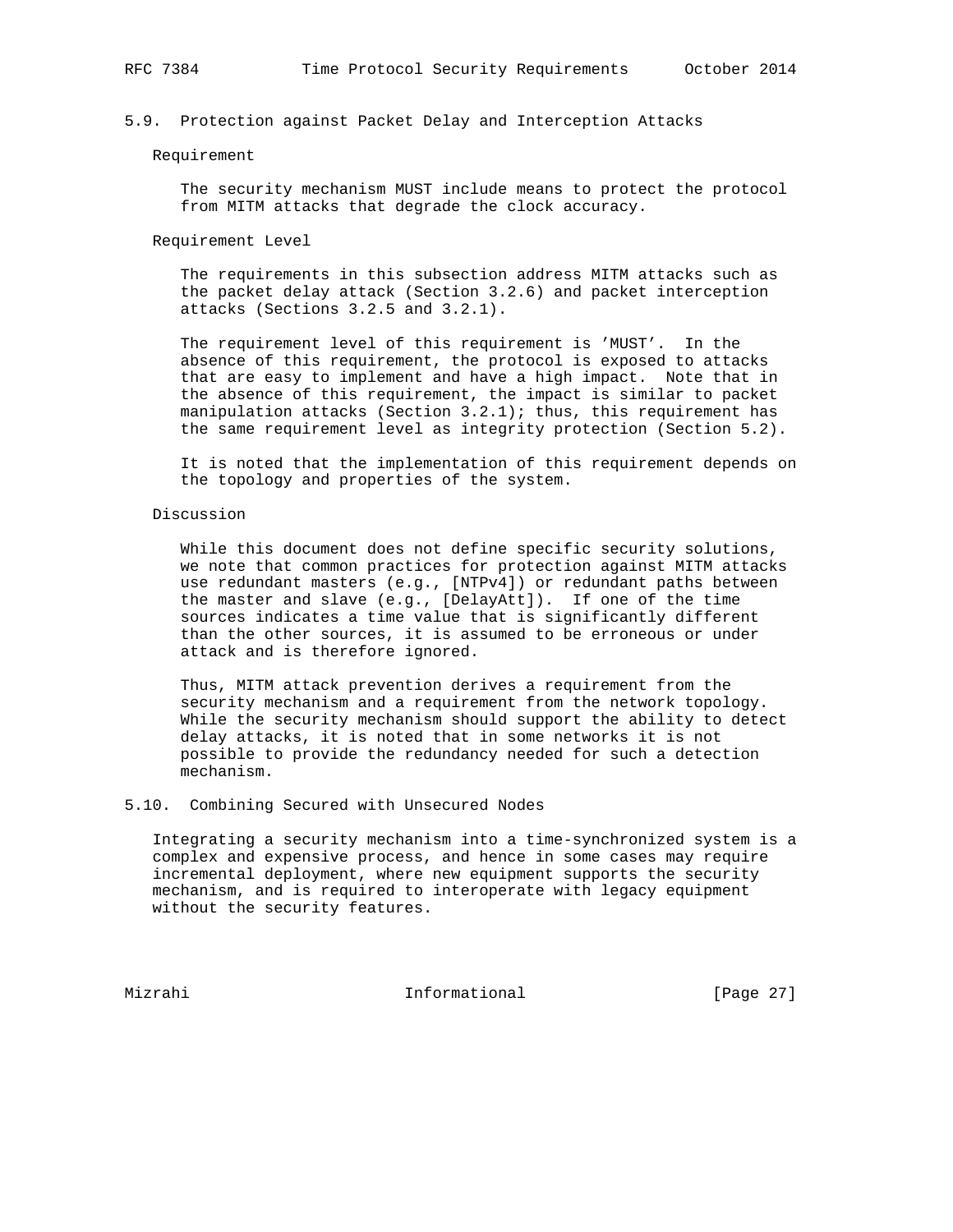# 5.9. Protection against Packet Delay and Interception Attacks

#### Requirement

 The security mechanism MUST include means to protect the protocol from MITM attacks that degrade the clock accuracy.

#### Requirement Level

 The requirements in this subsection address MITM attacks such as the packet delay attack (Section 3.2.6) and packet interception attacks (Sections 3.2.5 and 3.2.1).

 The requirement level of this requirement is 'MUST'. In the absence of this requirement, the protocol is exposed to attacks that are easy to implement and have a high impact. Note that in the absence of this requirement, the impact is similar to packet manipulation attacks (Section  $3.2.1$ ); thus, this requirement has the same requirement level as integrity protection (Section 5.2).

 It is noted that the implementation of this requirement depends on the topology and properties of the system.

## Discussion

 While this document does not define specific security solutions, we note that common practices for protection against MITM attacks use redundant masters (e.g., [NTPv4]) or redundant paths between the master and slave (e.g., [DelayAtt]). If one of the time sources indicates a time value that is significantly different than the other sources, it is assumed to be erroneous or under attack and is therefore ignored.

 Thus, MITM attack prevention derives a requirement from the security mechanism and a requirement from the network topology. While the security mechanism should support the ability to detect delay attacks, it is noted that in some networks it is not possible to provide the redundancy needed for such a detection mechanism.

# 5.10. Combining Secured with Unsecured Nodes

 Integrating a security mechanism into a time-synchronized system is a complex and expensive process, and hence in some cases may require incremental deployment, where new equipment supports the security mechanism, and is required to interoperate with legacy equipment without the security features.

Mizrahi 10.1 Informational [Page 27]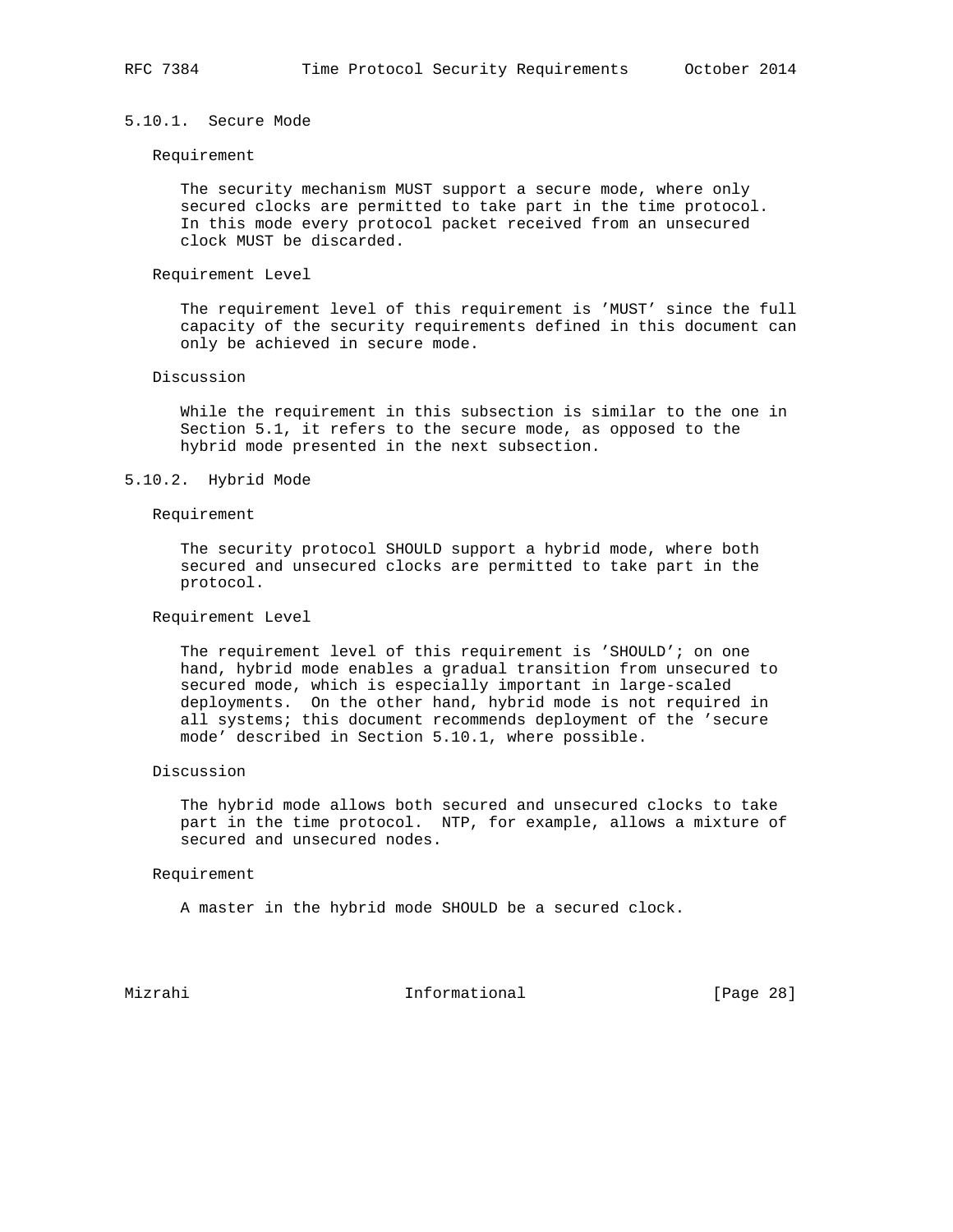# 5.10.1. Secure Mode

#### Requirement

 The security mechanism MUST support a secure mode, where only secured clocks are permitted to take part in the time protocol. In this mode every protocol packet received from an unsecured clock MUST be discarded.

# Requirement Level

 The requirement level of this requirement is 'MUST' since the full capacity of the security requirements defined in this document can only be achieved in secure mode.

# Discussion

 While the requirement in this subsection is similar to the one in Section 5.1, it refers to the secure mode, as opposed to the hybrid mode presented in the next subsection.

# 5.10.2. Hybrid Mode

# Requirement

 The security protocol SHOULD support a hybrid mode, where both secured and unsecured clocks are permitted to take part in the protocol.

## Requirement Level

 The requirement level of this requirement is 'SHOULD'; on one hand, hybrid mode enables a gradual transition from unsecured to secured mode, which is especially important in large-scaled deployments. On the other hand, hybrid mode is not required in all systems; this document recommends deployment of the 'secure mode' described in Section 5.10.1, where possible.

## Discussion

 The hybrid mode allows both secured and unsecured clocks to take part in the time protocol. NTP, for example, allows a mixture of secured and unsecured nodes.

#### Requirement

A master in the hybrid mode SHOULD be a secured clock.

Mizrahi Informational [Page 28]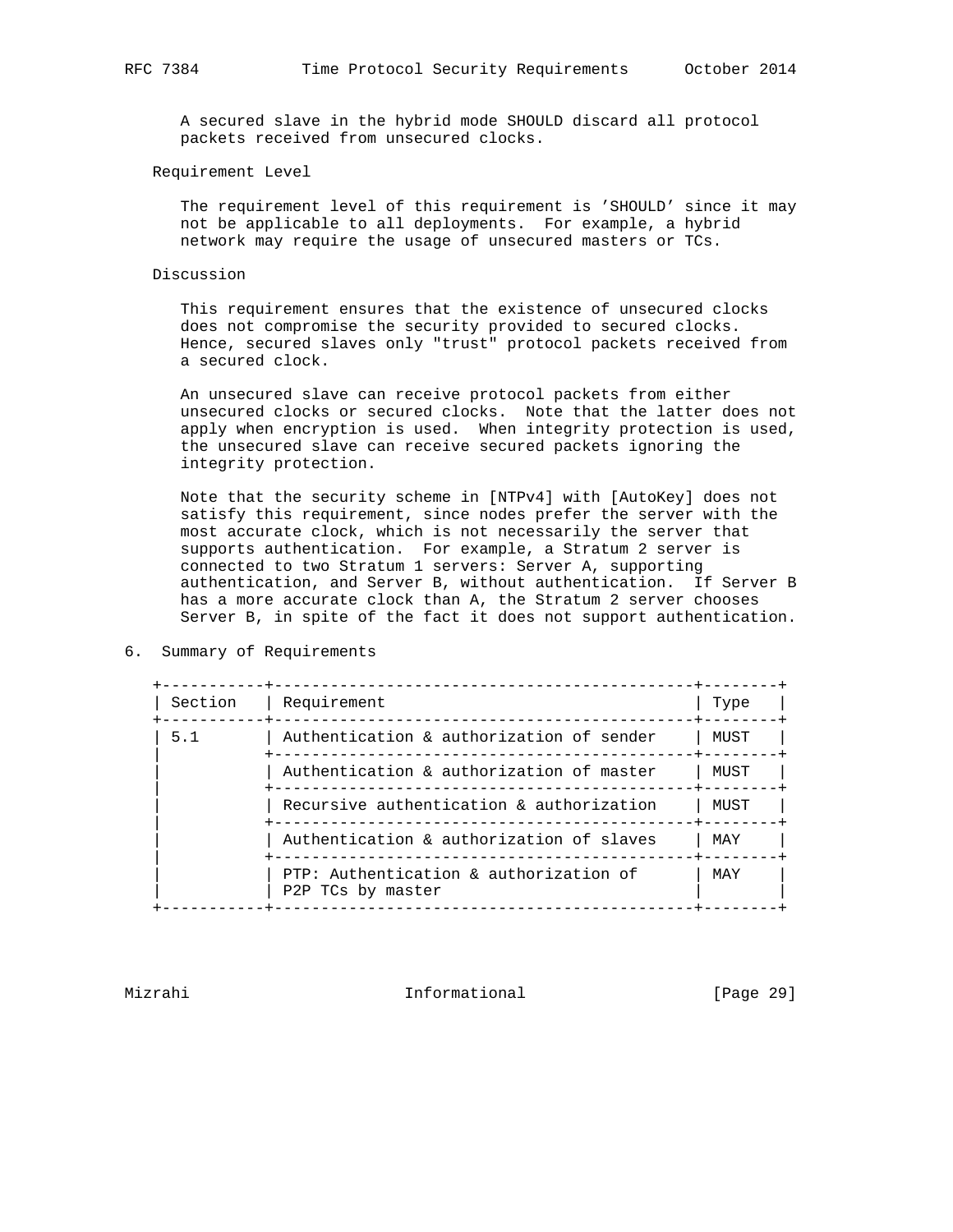A secured slave in the hybrid mode SHOULD discard all protocol packets received from unsecured clocks.

# Requirement Level

 The requirement level of this requirement is 'SHOULD' since it may not be applicable to all deployments. For example, a hybrid network may require the usage of unsecured masters or TCs.

## Discussion

 This requirement ensures that the existence of unsecured clocks does not compromise the security provided to secured clocks. Hence, secured slaves only "trust" protocol packets received from a secured clock.

 An unsecured slave can receive protocol packets from either unsecured clocks or secured clocks. Note that the latter does not apply when encryption is used. When integrity protection is used, the unsecured slave can receive secured packets ignoring the integrity protection.

 Note that the security scheme in [NTPv4] with [AutoKey] does not satisfy this requirement, since nodes prefer the server with the most accurate clock, which is not necessarily the server that supports authentication. For example, a Stratum 2 server is connected to two Stratum 1 servers: Server A, supporting authentication, and Server B, without authentication. If Server B has a more accurate clock than A, the Stratum 2 server chooses Server B, in spite of the fact it does not support authentication.

| 6. |  |  | Summary of Requirements |
|----|--|--|-------------------------|
|----|--|--|-------------------------|

| Section | Requirement                                                 | Type                                                                                                       |
|---------|-------------------------------------------------------------|------------------------------------------------------------------------------------------------------------|
| 5.1     | Authentication & authorization of sender                    | MUST                                                                                                       |
|         | Authentication & authorization of master                    | MUST                                                                                                       |
|         | Recursive authentication & authorization                    | MUST                                                                                                       |
|         | Authentication & authorization of slaves                    | MAY                                                                                                        |
|         | PTP: Authentication & authorization of<br>P2P TCs by master | MAY                                                                                                        |
|         |                                                             | ______________________________________<br>------------------------------<br>______________________________ |

Mizrahi Informational [Page 29]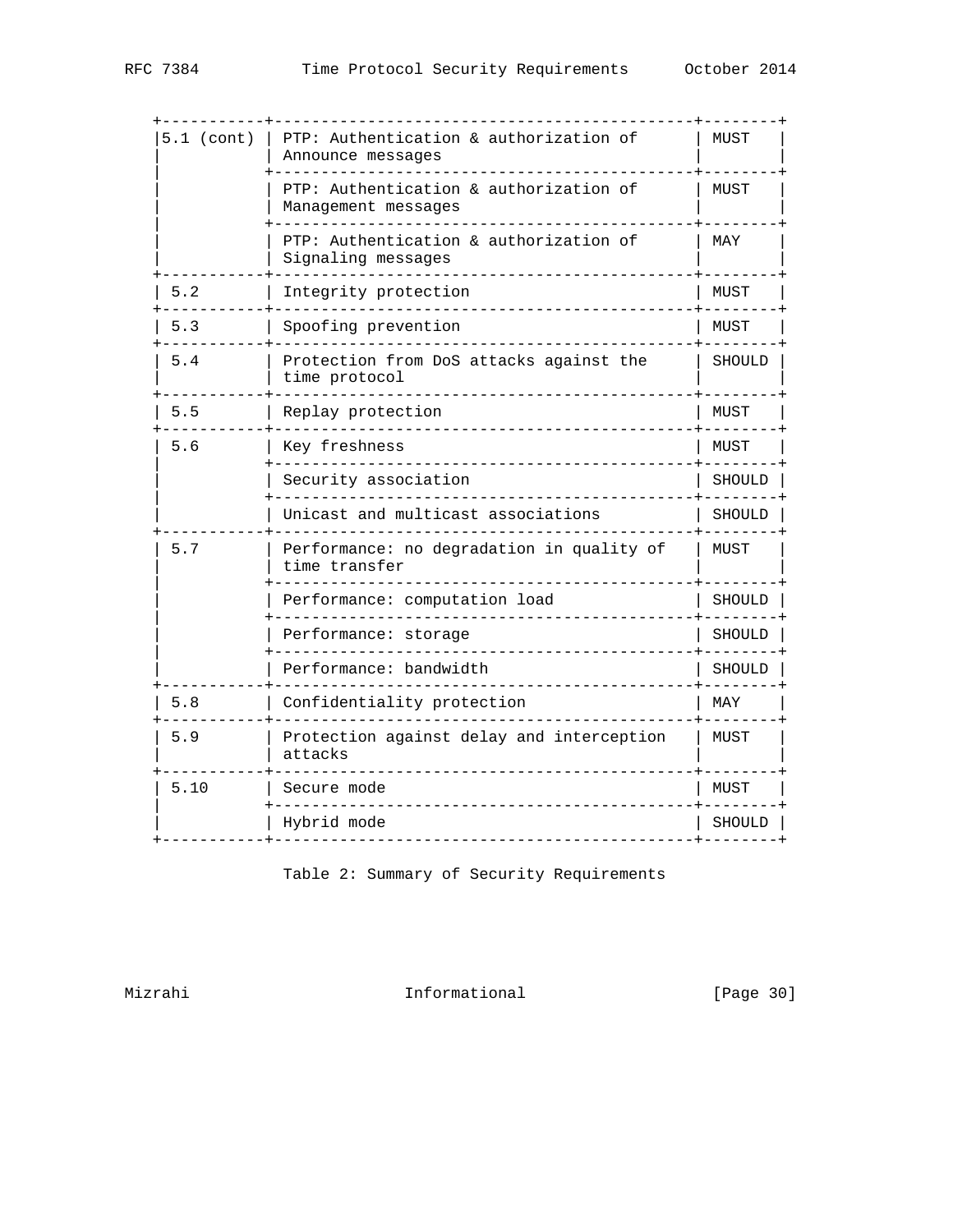| $5.1$ (cont) | PTP: Authentication & authorization of<br>Announce messages   | MUST   |
|--------------|---------------------------------------------------------------|--------|
|              | PTP: Authentication & authorization of<br>Management messages | MUST   |
|              | PTP: Authentication & authorization of<br>Signaling messages  | MAY    |
| 5.2          | Integrity protection                                          | MUST   |
| 5.3          | Spoofing prevention                                           | MUST   |
| 5.4          | Protection from DoS attacks against the<br>time protocol      | SHOULD |
| 5.5          | Replay protection                                             | MUST   |
| 5.6          | Key freshness                                                 | MUST   |
|              | Security association                                          | SHOULI |
|              | Unicast and multicast associations                            | SHOULD |
| 5.7          | Performance: no degradation in quality of<br>time transfer    | MUST   |
|              | Performance: computation load                                 | SHOULI |
|              | Performance: storage                                          | SHOUL  |
|              | Performance: bandwidth                                        | SHOULD |
| 5.8          | Confidentiality protection                                    | MAY    |
| 5.9          | Protection against delay and interception<br>attacks          | MUST   |
| 5.10         | Secure mode                                                   | MUST   |
|              | Hybrid mode                                                   |        |

Table 2: Summary of Security Requirements

Mizrahi 10. Informational [Page 30]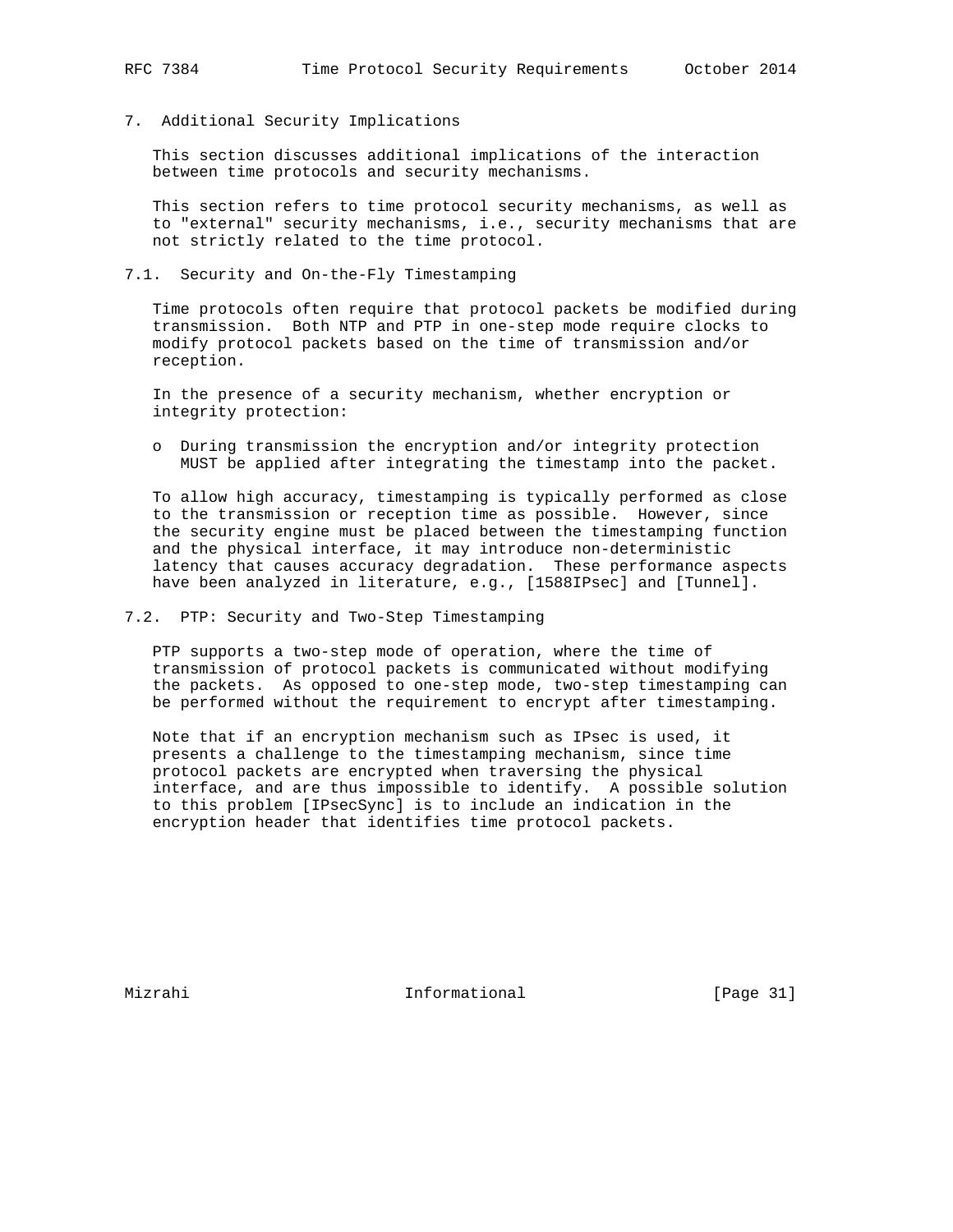7. Additional Security Implications

 This section discusses additional implications of the interaction between time protocols and security mechanisms.

 This section refers to time protocol security mechanisms, as well as to "external" security mechanisms, i.e., security mechanisms that are not strictly related to the time protocol.

7.1. Security and On-the-Fly Timestamping

 Time protocols often require that protocol packets be modified during transmission. Both NTP and PTP in one-step mode require clocks to modify protocol packets based on the time of transmission and/or reception.

 In the presence of a security mechanism, whether encryption or integrity protection:

 o During transmission the encryption and/or integrity protection MUST be applied after integrating the timestamp into the packet.

 To allow high accuracy, timestamping is typically performed as close to the transmission or reception time as possible. However, since the security engine must be placed between the timestamping function and the physical interface, it may introduce non-deterministic latency that causes accuracy degradation. These performance aspects have been analyzed in literature, e.g., [1588IPsec] and [Tunnel].

7.2. PTP: Security and Two-Step Timestamping

 PTP supports a two-step mode of operation, where the time of transmission of protocol packets is communicated without modifying the packets. As opposed to one-step mode, two-step timestamping can be performed without the requirement to encrypt after timestamping.

 Note that if an encryption mechanism such as IPsec is used, it presents a challenge to the timestamping mechanism, since time protocol packets are encrypted when traversing the physical interface, and are thus impossible to identify. A possible solution to this problem [IPsecSync] is to include an indication in the encryption header that identifies time protocol packets.

Mizrahi Informational [Page 31]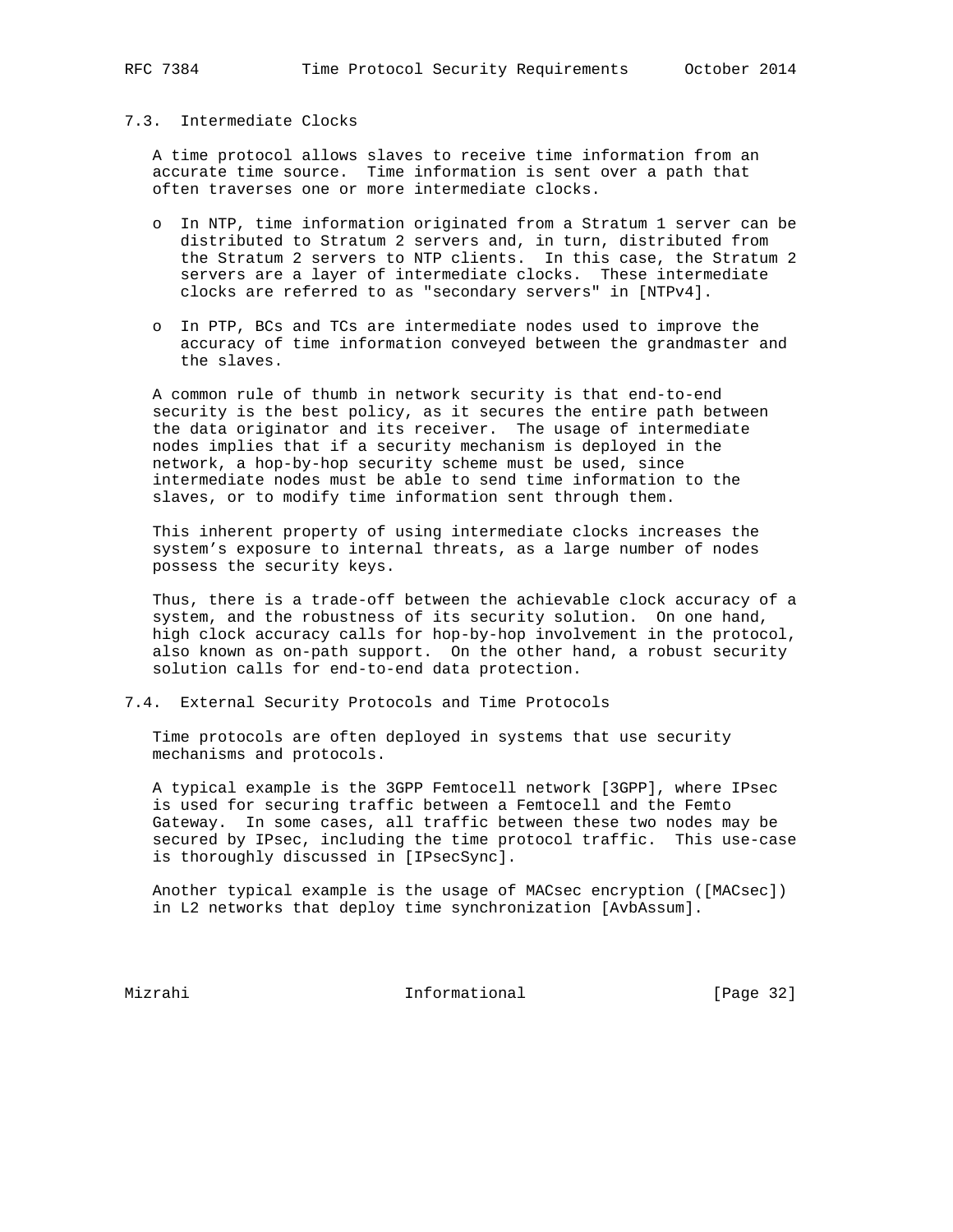# 7.3. Intermediate Clocks

 A time protocol allows slaves to receive time information from an accurate time source. Time information is sent over a path that often traverses one or more intermediate clocks.

- o In NTP, time information originated from a Stratum 1 server can be distributed to Stratum 2 servers and, in turn, distributed from the Stratum 2 servers to NTP clients. In this case, the Stratum 2 servers are a layer of intermediate clocks. These intermediate clocks are referred to as "secondary servers" in [NTPv4].
- o In PTP, BCs and TCs are intermediate nodes used to improve the accuracy of time information conveyed between the grandmaster and the slaves.

 A common rule of thumb in network security is that end-to-end security is the best policy, as it secures the entire path between the data originator and its receiver. The usage of intermediate nodes implies that if a security mechanism is deployed in the network, a hop-by-hop security scheme must be used, since intermediate nodes must be able to send time information to the slaves, or to modify time information sent through them.

 This inherent property of using intermediate clocks increases the system's exposure to internal threats, as a large number of nodes possess the security keys.

 Thus, there is a trade-off between the achievable clock accuracy of a system, and the robustness of its security solution. On one hand, high clock accuracy calls for hop-by-hop involvement in the protocol, also known as on-path support. On the other hand, a robust security solution calls for end-to-end data protection.

7.4. External Security Protocols and Time Protocols

 Time protocols are often deployed in systems that use security mechanisms and protocols.

 A typical example is the 3GPP Femtocell network [3GPP], where IPsec is used for securing traffic between a Femtocell and the Femto Gateway. In some cases, all traffic between these two nodes may be secured by IPsec, including the time protocol traffic. This use-case is thoroughly discussed in [IPsecSync].

 Another typical example is the usage of MACsec encryption ([MACsec]) in L2 networks that deploy time synchronization [AvbAssum].

Mizrahi 10.1 Informational [Page 32]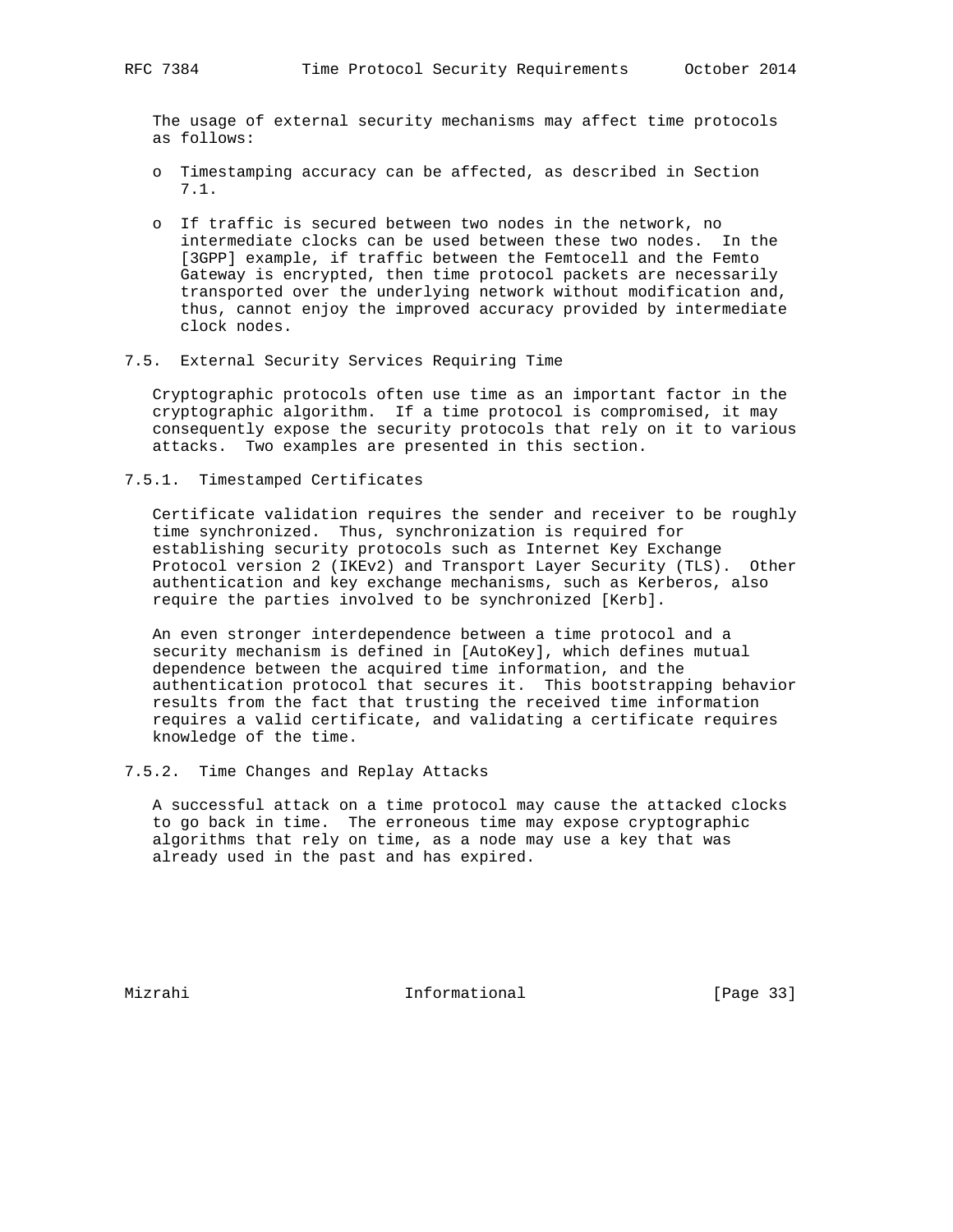The usage of external security mechanisms may affect time protocols as follows:

- o Timestamping accuracy can be affected, as described in Section 7.1.
- o If traffic is secured between two nodes in the network, no intermediate clocks can be used between these two nodes. In the [3GPP] example, if traffic between the Femtocell and the Femto Gateway is encrypted, then time protocol packets are necessarily transported over the underlying network without modification and, thus, cannot enjoy the improved accuracy provided by intermediate clock nodes.
- 7.5. External Security Services Requiring Time

 Cryptographic protocols often use time as an important factor in the cryptographic algorithm. If a time protocol is compromised, it may consequently expose the security protocols that rely on it to various attacks. Two examples are presented in this section.

7.5.1. Timestamped Certificates

 Certificate validation requires the sender and receiver to be roughly time synchronized. Thus, synchronization is required for establishing security protocols such as Internet Key Exchange Protocol version 2 (IKEv2) and Transport Layer Security (TLS). Other authentication and key exchange mechanisms, such as Kerberos, also require the parties involved to be synchronized [Kerb].

 An even stronger interdependence between a time protocol and a security mechanism is defined in [AutoKey], which defines mutual dependence between the acquired time information, and the authentication protocol that secures it. This bootstrapping behavior results from the fact that trusting the received time information requires a valid certificate, and validating a certificate requires knowledge of the time.

7.5.2. Time Changes and Replay Attacks

 A successful attack on a time protocol may cause the attacked clocks to go back in time. The erroneous time may expose cryptographic algorithms that rely on time, as a node may use a key that was already used in the past and has expired.

Mizrahi Informational [Page 33]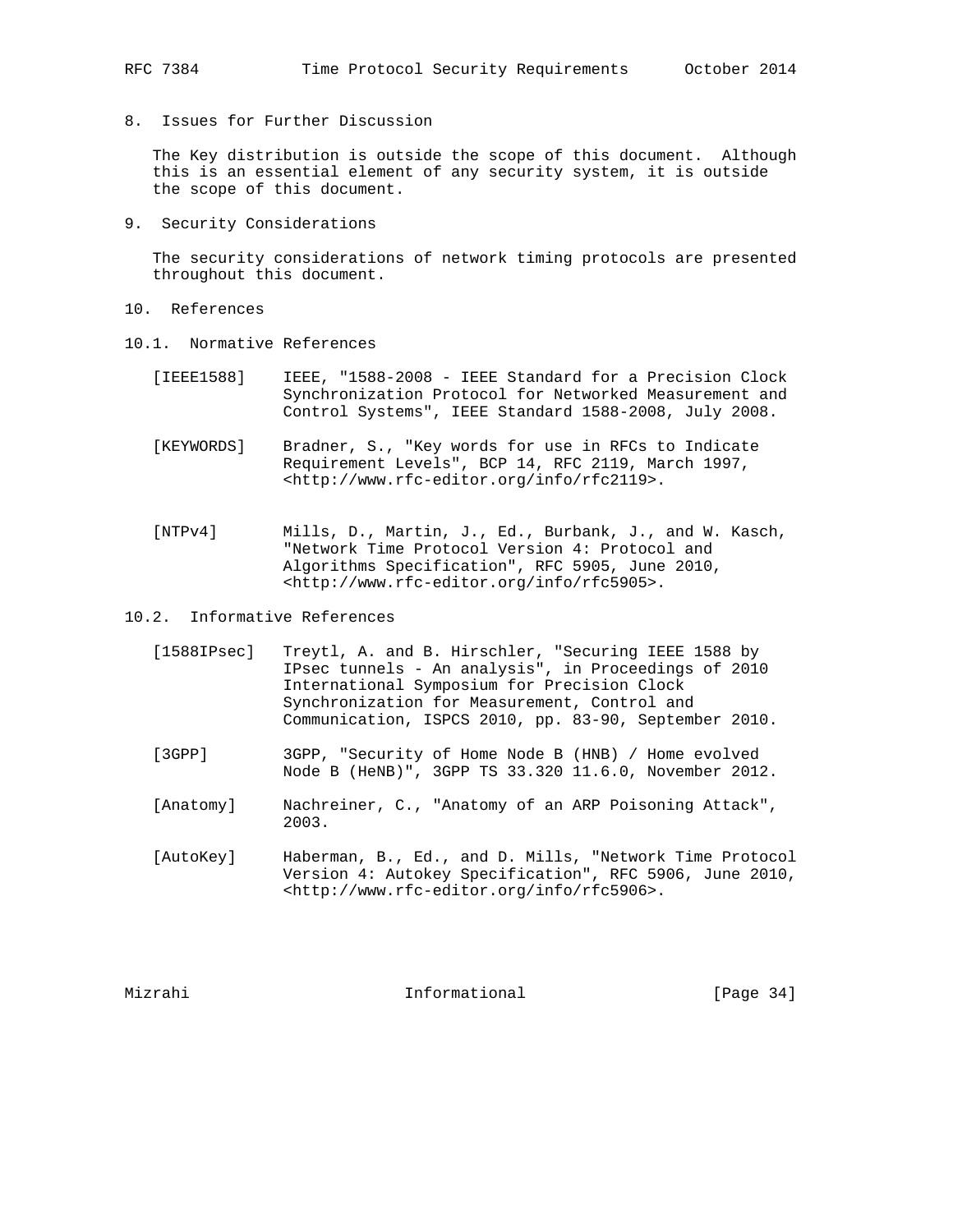8. Issues for Further Discussion

 The Key distribution is outside the scope of this document. Although this is an essential element of any security system, it is outside the scope of this document.

9. Security Considerations

 The security considerations of network timing protocols are presented throughout this document.

- 10. References
- 10.1. Normative References
	- [IEEE1588] IEEE, "1588-2008 IEEE Standard for a Precision Clock Synchronization Protocol for Networked Measurement and Control Systems", IEEE Standard 1588-2008, July 2008.
	- [KEYWORDS] Bradner, S., "Key words for use in RFCs to Indicate Requirement Levels", BCP 14, RFC 2119, March 1997, <http://www.rfc-editor.org/info/rfc2119>.
	- [NTPv4] Mills, D., Martin, J., Ed., Burbank, J., and W. Kasch, "Network Time Protocol Version 4: Protocol and Algorithms Specification", RFC 5905, June 2010, <http://www.rfc-editor.org/info/rfc5905>.

10.2. Informative References

- [1588IPsec] Treytl, A. and B. Hirschler, "Securing IEEE 1588 by IPsec tunnels - An analysis", in Proceedings of 2010 International Symposium for Precision Clock Synchronization for Measurement, Control and Communication, ISPCS 2010, pp. 83-90, September 2010.
- [3GPP] 3GPP, "Security of Home Node B (HNB) / Home evolved Node B (HeNB)", 3GPP TS 33.320 11.6.0, November 2012.
- [Anatomy] Nachreiner, C., "Anatomy of an ARP Poisoning Attack", 2003.
- [AutoKey] Haberman, B., Ed., and D. Mills, "Network Time Protocol Version 4: Autokey Specification", RFC 5906, June 2010, <http://www.rfc-editor.org/info/rfc5906>.

Mizrahi Informational [Page 34]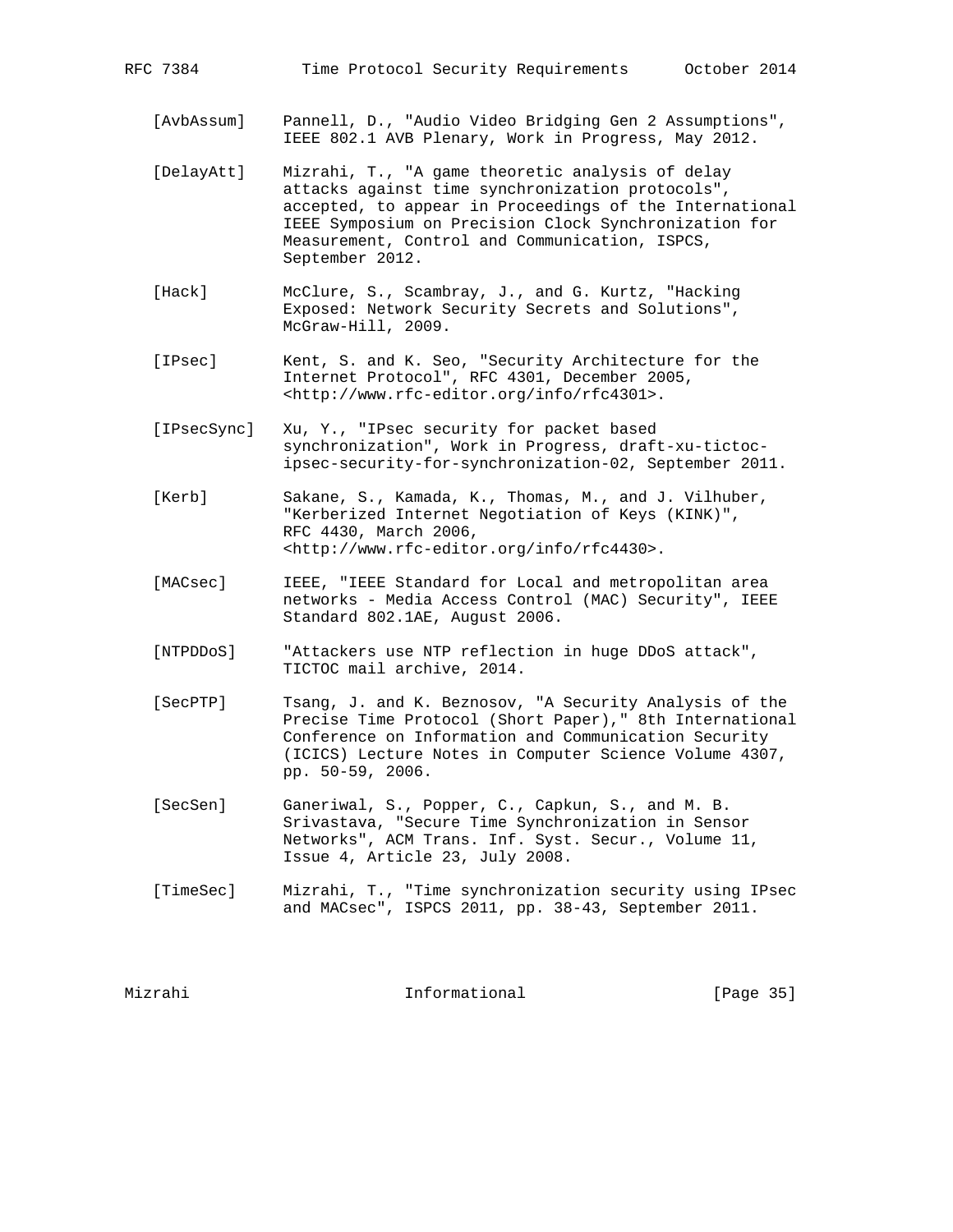[AvbAssum] Pannell, D., "Audio Video Bridging Gen 2 Assumptions", IEEE 802.1 AVB Plenary, Work in Progress, May 2012.

- [DelayAtt] Mizrahi, T., "A game theoretic analysis of delay attacks against time synchronization protocols", accepted, to appear in Proceedings of the International IEEE Symposium on Precision Clock Synchronization for Measurement, Control and Communication, ISPCS, September 2012.
- [Hack] McClure, S., Scambray, J., and G. Kurtz, "Hacking Exposed: Network Security Secrets and Solutions", McGraw-Hill, 2009.
- [IPsec] Kent, S. and K. Seo, "Security Architecture for the Internet Protocol", RFC 4301, December 2005, <http://www.rfc-editor.org/info/rfc4301>.
- [IPsecSync] Xu, Y., "IPsec security for packet based synchronization", Work in Progress, draft-xu-tictoc ipsec-security-for-synchronization-02, September 2011.
- [Kerb] Sakane, S., Kamada, K., Thomas, M., and J. Vilhuber, "Kerberized Internet Negotiation of Keys (KINK)", RFC 4430, March 2006, <http://www.rfc-editor.org/info/rfc4430>.
- [MACsec] IEEE, "IEEE Standard for Local and metropolitan area networks - Media Access Control (MAC) Security", IEEE Standard 802.1AE, August 2006.
- [NTPDDoS] "Attackers use NTP reflection in huge DDoS attack", TICTOC mail archive, 2014.
- [SecPTP] Tsang, J. and K. Beznosov, "A Security Analysis of the Precise Time Protocol (Short Paper)," 8th International Conference on Information and Communication Security (ICICS) Lecture Notes in Computer Science Volume 4307, pp. 50-59, 2006.
- [SecSen] Ganeriwal, S., Popper, C., Capkun, S., and M. B. Srivastava, "Secure Time Synchronization in Sensor Networks", ACM Trans. Inf. Syst. Secur., Volume 11, Issue 4, Article 23, July 2008.
- [TimeSec] Mizrahi, T., "Time synchronization security using IPsec and MACsec", ISPCS 2011, pp. 38-43, September 2011.

Mizrahi Informational [Page 35]